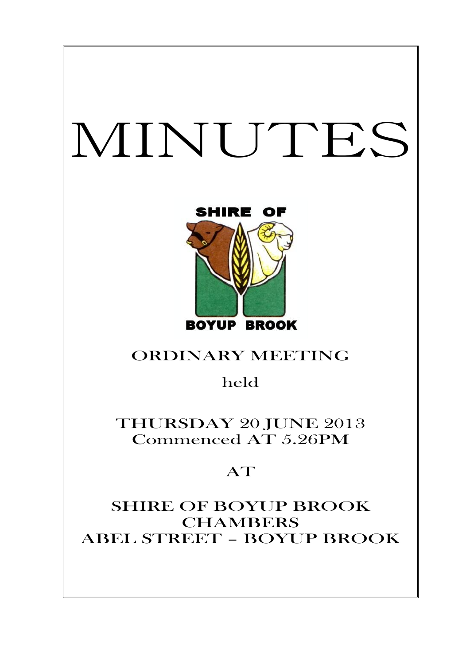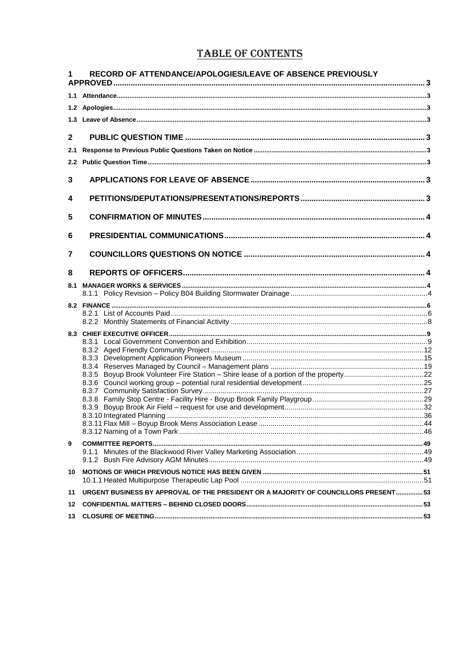# **TABLE OF CONTENTS**

| RECORD OF ATTENDANCE/APOLOGIES/LEAVE OF ABSENCE PREVIOUSLY                                |  |
|-------------------------------------------------------------------------------------------|--|
|                                                                                           |  |
|                                                                                           |  |
|                                                                                           |  |
| $\mathbf{2}$                                                                              |  |
| 2.1                                                                                       |  |
|                                                                                           |  |
| 3                                                                                         |  |
| 4                                                                                         |  |
| 5                                                                                         |  |
| 6                                                                                         |  |
| 7                                                                                         |  |
| 8                                                                                         |  |
| 8.1                                                                                       |  |
|                                                                                           |  |
|                                                                                           |  |
|                                                                                           |  |
|                                                                                           |  |
|                                                                                           |  |
|                                                                                           |  |
|                                                                                           |  |
|                                                                                           |  |
|                                                                                           |  |
|                                                                                           |  |
|                                                                                           |  |
|                                                                                           |  |
|                                                                                           |  |
|                                                                                           |  |
| 9                                                                                         |  |
|                                                                                           |  |
|                                                                                           |  |
| 10                                                                                        |  |
| URGENT BUSINESS BY APPROVAL OF THE PRESIDENT OR A MAJORITY OF COUNCILLORS PRESENT53<br>11 |  |
| 12                                                                                        |  |
| 13                                                                                        |  |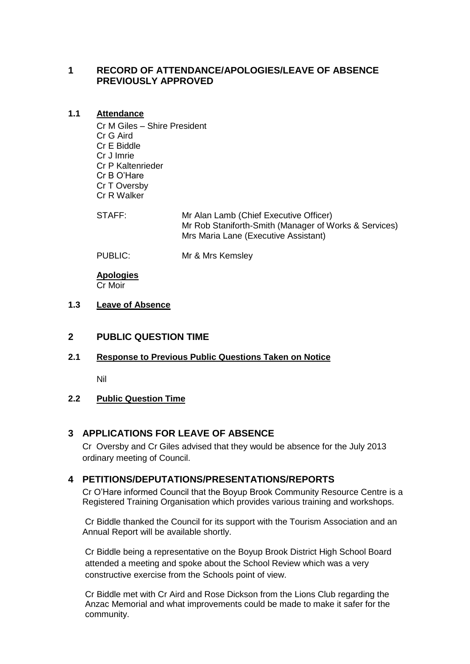# <span id="page-2-0"></span>**1 RECORD OF ATTENDANCE/APOLOGIES/LEAVE OF ABSENCE PREVIOUSLY APPROVED**

### <span id="page-2-1"></span>**1.1 Attendance**

Cr M Giles – Shire President Cr G Aird Cr E Biddle Cr J Imrie Cr P Kaltenrieder Cr B O'Hare Cr T Oversby Cr R Walker

STAFF: Mr Alan Lamb (Chief Executive Officer) Mr Rob Staniforth-Smith (Manager of Works & Services) Mrs Maria Lane (Executive Assistant)

<span id="page-2-2"></span>

PUBLIC: Mr & Mrs Kemsley

**Apologies** Cr Moir

## <span id="page-2-3"></span>**1.3 Leave of Absence**

## <span id="page-2-4"></span>**2 PUBLIC QUESTION TIME**

## <span id="page-2-5"></span>**2.1 Response to Previous Public Questions Taken on Notice**

Nil

## <span id="page-2-6"></span>**2.2 Public Question Time**

## <span id="page-2-7"></span>**3 APPLICATIONS FOR LEAVE OF ABSENCE**

Cr Oversby and Cr Giles advised that they would be absence for the July 2013 ordinary meeting of Council.

## <span id="page-2-8"></span>**4 PETITIONS/DEPUTATIONS/PRESENTATIONS/REPORTS**

Cr O'Hare informed Council that the Boyup Brook Community Resource Centre is a Registered Training Organisation which provides various training and workshops.

Cr Biddle thanked the Council for its support with the Tourism Association and an Annual Report will be available shortly.

Cr Biddle being a representative on the Boyup Brook District High School Board attended a meeting and spoke about the School Review which was a very constructive exercise from the Schools point of view.

Cr Biddle met with Cr Aird and Rose Dickson from the Lions Club regarding the Anzac Memorial and what improvements could be made to make it safer for the community.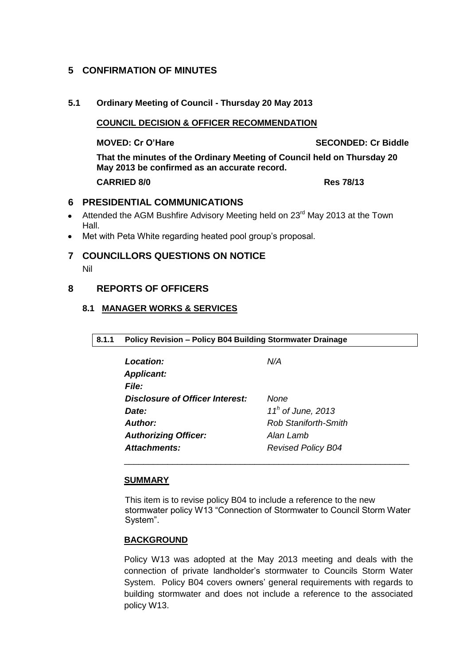## <span id="page-3-0"></span>**5 CONFIRMATION OF MINUTES**

## **5.1 Ordinary Meeting of Council - Thursday 20 May 2013**

**COUNCIL DECISION & OFFICER RECOMMENDATION**

**MOVED: Cr O'Hare SECONDED: Cr Biddle**

**That the minutes of the Ordinary Meeting of Council held on Thursday 20 May 2013 be confirmed as an accurate record. CARRIED 8/0 Res 78/13**

## <span id="page-3-1"></span>**6 PRESIDENTIAL COMMUNICATIONS**

- Attended the AGM Bushfire Advisory Meeting held on 23<sup>rd</sup> May 2013 at the Town  $\bullet$ Hall.
- <span id="page-3-2"></span>Met with Peta White regarding heated pool group's proposal.  $\bullet$

## **7 COUNCILLORS QUESTIONS ON NOTICE**

Nil

## <span id="page-3-4"></span><span id="page-3-3"></span>**8 REPORTS OF OFFICERS**

## <span id="page-3-5"></span>**8.1 MANAGER WORKS & SERVICES**

| 8.1.1 Policy Revision - Policy B04 Building Stormwater Drainage |  |
|-----------------------------------------------------------------|--|
|                                                                 |  |

| Location:                       | N/A                         |
|---------------------------------|-----------------------------|
| <b>Applicant:</b>               |                             |
| <b>File:</b>                    |                             |
| Disclosure of Officer Interest: | None                        |
| Date:                           | $11h$ of June, 2013         |
| Author:                         | <b>Rob Staniforth-Smith</b> |
| <b>Authorizing Officer:</b>     | Alan Lamb                   |
| <b>Attachments:</b>             | <b>Revised Policy B04</b>   |

## **SUMMARY**

This item is to revise policy B04 to include a reference to the new stormwater policy W13 "Connection of Stormwater to Council Storm Water System".

\_\_\_\_\_\_\_\_\_\_\_\_\_\_\_\_\_\_\_\_\_\_\_\_\_\_\_\_\_\_\_\_\_\_\_\_\_\_\_\_\_\_\_\_\_\_\_\_\_\_\_\_\_\_\_\_\_\_\_

## **BACKGROUND**

Policy W13 was adopted at the May 2013 meeting and deals with the connection of private landholder's stormwater to Councils Storm Water System. Policy B04 covers owners' general requirements with regards to building stormwater and does not include a reference to the associated policy W13.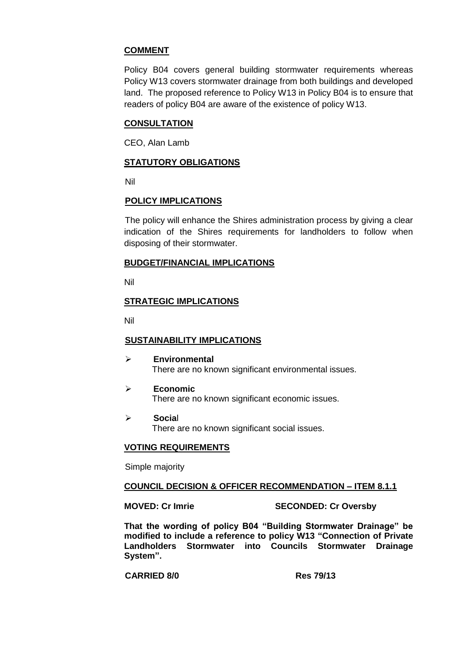## **COMMENT**

Policy B04 covers general building stormwater requirements whereas Policy W13 covers stormwater drainage from both buildings and developed land. The proposed reference to Policy W13 in Policy B04 is to ensure that readers of policy B04 are aware of the existence of policy W13.

## **CONSULTATION**

CEO, Alan Lamb

## **STATUTORY OBLIGATIONS**

Nil

## **POLICY IMPLICATIONS**

The policy will enhance the Shires administration process by giving a clear indication of the Shires requirements for landholders to follow when disposing of their stormwater.

## **BUDGET/FINANCIAL IMPLICATIONS**

Nil

## **STRATEGIC IMPLICATIONS**

Nil

## **SUSTAINABILITY IMPLICATIONS**

- **Environmental** There are no known significant environmental issues.
- **Economic** There are no known significant economic issues.
- **Socia**l There are no known significant social issues.

## **VOTING REQUIREMENTS**

Simple majority

## **COUNCIL DECISION & OFFICER RECOMMENDATION – ITEM 8.1.1**

#### **MOVED: Cr Imrie SECONDED: Cr Oversby**

**That the wording of policy B04 "Building Stormwater Drainage" be modified to include a reference to policy W13 "Connection of Private Landholders Stormwater into Councils Stormwater Drainage System".**

**CARRIED 8/0 Res 79/13**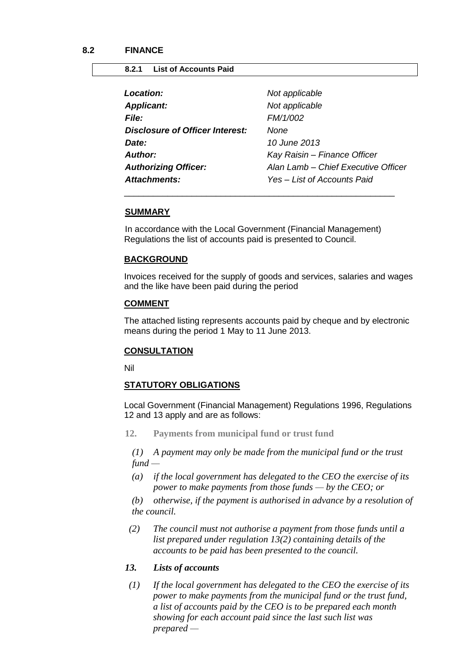#### <span id="page-5-1"></span><span id="page-5-0"></span>**8.2.1 List of Accounts Paid**

| <b>Location:</b>                | Not applicable                      |
|---------------------------------|-------------------------------------|
| <b>Applicant:</b>               | Not applicable                      |
| <i>File:</i>                    | FM/1/002                            |
| Disclosure of Officer Interest: | None                                |
| Date:                           | 10 June 2013                        |
| Author:                         | Kay Raisin - Finance Officer        |
| <b>Authorizing Officer:</b>     | Alan Lamb - Chief Executive Officer |
| <b>Attachments:</b>             | Yes - List of Accounts Paid         |
|                                 |                                     |

#### **SUMMARY**

In accordance with the Local Government (Financial Management) Regulations the list of accounts paid is presented to Council.

\_\_\_\_\_\_\_\_\_\_\_\_\_\_\_\_\_\_\_\_\_\_\_\_\_\_\_\_\_\_\_\_\_\_\_\_\_\_\_\_\_\_\_\_\_\_\_\_\_\_\_\_\_\_\_\_

#### **BACKGROUND**

Invoices received for the supply of goods and services, salaries and wages and the like have been paid during the period

#### **COMMENT**

The attached listing represents accounts paid by cheque and by electronic means during the period 1 May to 11 June 2013.

## **CONSULTATION**

Nil

#### **STATUTORY OBLIGATIONS**

Local Government (Financial Management) Regulations 1996, Regulations 12 and 13 apply and are as follows:

**12. Payments from municipal fund or trust fund**

*(1) A payment may only be made from the municipal fund or the trust fund —*

*(a) if the local government has delegated to the CEO the exercise of its power to make payments from those funds — by the CEO; or*

*(b) otherwise, if the payment is authorised in advance by a resolution of the council.*

 *(2) The council must not authorise a payment from those funds until a list prepared under regulation 13(2) containing details of the accounts to be paid has been presented to the council.*

## *13. Lists of accounts*

 *(1) If the local government has delegated to the CEO the exercise of its power to make payments from the municipal fund or the trust fund, a list of accounts paid by the CEO is to be prepared each month showing for each account paid since the last such list was prepared —*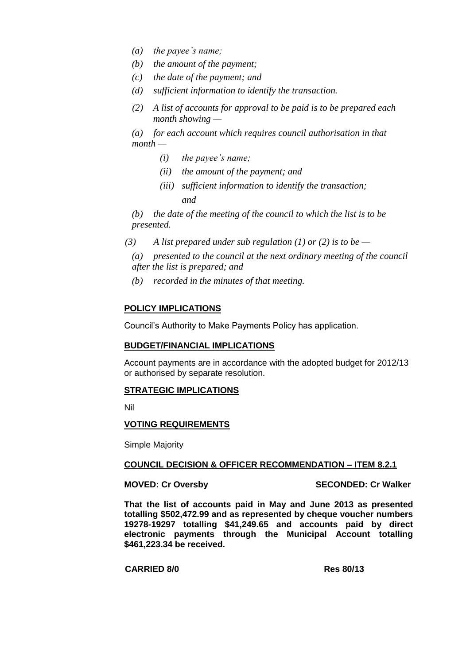- *(a) the payee's name;*
- *(b) the amount of the payment;*
- *(c) the date of the payment; and*
- *(d) sufficient information to identify the transaction.*
- *(2) A list of accounts for approval to be paid is to be prepared each month showing —*

*(a) for each account which requires council authorisation in that month —*

- *(i) the payee's name;*
- *(ii) the amount of the payment; and*
- *(iii) sufficient information to identify the transaction; and*

*(b) the date of the meeting of the council to which the list is to be presented.*

- *(3) A list prepared under sub regulation (1) or (2) is to be —*
	- *(a) presented to the council at the next ordinary meeting of the council after the list is prepared; and*
	- *(b) recorded in the minutes of that meeting.*

### **POLICY IMPLICATIONS**

Council's Authority to Make Payments Policy has application.

#### **BUDGET/FINANCIAL IMPLICATIONS**

Account payments are in accordance with the adopted budget for 2012/13 or authorised by separate resolution.

#### **STRATEGIC IMPLICATIONS**

Nil

#### **VOTING REQUIREMENTS**

Simple Majority

#### **COUNCIL DECISION & OFFICER RECOMMENDATION – ITEM 8.2.1**

**MOVED: Cr Oversby SECONDED: Cr Walker**

**That the list of accounts paid in May and June 2013 as presented totalling \$502,472.99 and as represented by cheque voucher numbers 19278-19297 totalling \$41,249.65 and accounts paid by direct electronic payments through the Municipal Account totalling \$461,223.34 be received.**

#### **CARRIED 8/0 Res 80/13**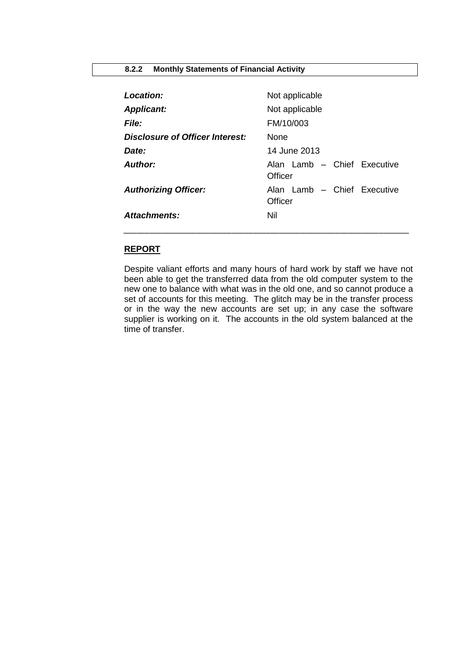#### <span id="page-7-0"></span>**8.2.2 Monthly Statements of Financial Activity**

| Location:                       | Not applicable                         |
|---------------------------------|----------------------------------------|
| <b>Applicant:</b>               | Not applicable                         |
| <b>File:</b>                    | FM/10/003                              |
| Disclosure of Officer Interest: | <b>None</b>                            |
| Date:                           | 14 June 2013                           |
| <b>Author:</b>                  | Alan Lamb - Chief Executive<br>Officer |
| <b>Authorizing Officer:</b>     | Alan Lamb - Chief Executive<br>Officer |
| Attachments:                    | Nil                                    |

# **REPORT**

Despite valiant efforts and many hours of hard work by staff we have not been able to get the transferred data from the old computer system to the new one to balance with what was in the old one, and so cannot produce a set of accounts for this meeting. The glitch may be in the transfer process or in the way the new accounts are set up; in any case the software supplier is working on it. The accounts in the old system balanced at the time of transfer.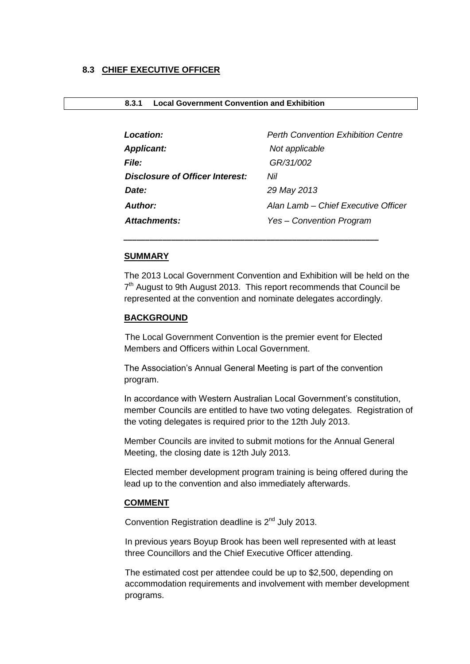### <span id="page-8-0"></span>**8.3 CHIEF EXECUTIVE OFFICER**

<span id="page-8-1"></span>

| 8.3.1 | <b>Local Government Convention and Exhibition</b> |  |  |
|-------|---------------------------------------------------|--|--|
|-------|---------------------------------------------------|--|--|

| Location:                              | <b>Perth Convention Exhibition Centre</b> |
|----------------------------------------|-------------------------------------------|
| <b>Applicant:</b>                      | Not applicable                            |
| <i>File:</i>                           | GR/31/002                                 |
| <b>Disclosure of Officer Interest:</b> | Nil                                       |
| Date:                                  | 29 May 2013                               |
| <b>Author:</b>                         | Alan Lamb - Chief Executive Officer       |
| Attachments:                           | Yes - Convention Program                  |

#### **SUMMARY**

The 2013 Local Government Convention and Exhibition will be held on the 7<sup>th</sup> August to 9th August 2013. This report recommends that Council be represented at the convention and nominate delegates accordingly.

#### **BACKGROUND**

The Local Government Convention is the premier event for Elected Members and Officers within Local Government.

*\_\_\_\_\_\_\_\_\_\_\_\_\_\_\_\_\_\_\_\_\_\_\_\_\_\_\_\_\_\_\_\_\_\_\_\_\_\_\_\_\_\_\_\_\_\_\_\_\_\_\_\_\_\_\_\_\_\_\_*

The Association's Annual General Meeting is part of the convention program.

In accordance with Western Australian Local Government's constitution, member Councils are entitled to have two voting delegates. Registration of the voting delegates is required prior to the 12th July 2013.

Member Councils are invited to submit motions for the Annual General Meeting, the closing date is 12th July 2013.

Elected member development program training is being offered during the lead up to the convention and also immediately afterwards.

#### **COMMENT**

Convention Registration deadline is  $2<sup>nd</sup>$  July 2013.

In previous years Boyup Brook has been well represented with at least three Councillors and the Chief Executive Officer attending.

The estimated cost per attendee could be up to \$2,500, depending on accommodation requirements and involvement with member development programs.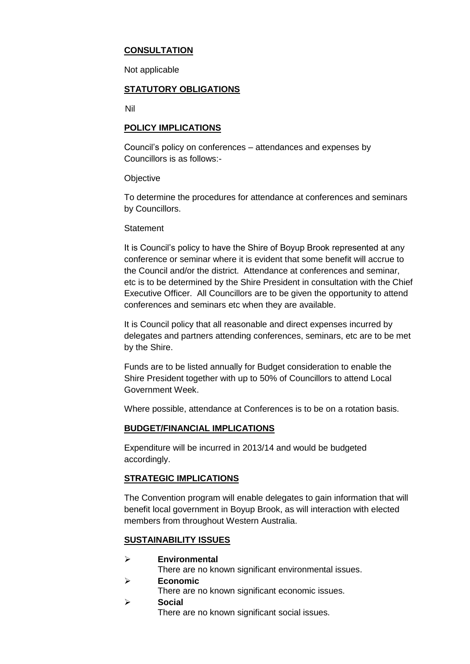## **CONSULTATION**

Not applicable

## **STATUTORY OBLIGATIONS**

Nil

## **POLICY IMPLICATIONS**

Council's policy on conferences – attendances and expenses by Councillors is as follows:-

**Objective** 

To determine the procedures for attendance at conferences and seminars by Councillors.

### **Statement**

It is Council's policy to have the Shire of Boyup Brook represented at any conference or seminar where it is evident that some benefit will accrue to the Council and/or the district. Attendance at conferences and seminar, etc is to be determined by the Shire President in consultation with the Chief Executive Officer. All Councillors are to be given the opportunity to attend conferences and seminars etc when they are available.

It is Council policy that all reasonable and direct expenses incurred by delegates and partners attending conferences, seminars, etc are to be met by the Shire.

Funds are to be listed annually for Budget consideration to enable the Shire President together with up to 50% of Councillors to attend Local Government Week.

Where possible, attendance at Conferences is to be on a rotation basis.

## **BUDGET/FINANCIAL IMPLICATIONS**

Expenditure will be incurred in 2013/14 and would be budgeted accordingly.

## **STRATEGIC IMPLICATIONS**

The Convention program will enable delegates to gain information that will benefit local government in Boyup Brook, as will interaction with elected members from throughout Western Australia.

## **SUSTAINABILITY ISSUES**

**Environmental**

There are no known significant environmental issues.

- **Economic**
	- There are no known significant economic issues.
- **Social**

There are no known significant social issues.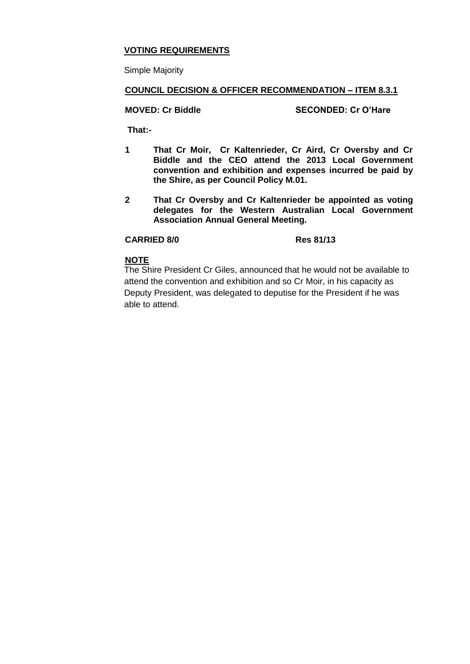## **VOTING REQUIREMENTS**

Simple Majority

## **COUNCIL DECISION & OFFICER RECOMMENDATION – ITEM 8.3.1**

## **MOVED: Cr Biddle SECONDED: Cr O'Hare**

**That:-**

- **1 That Cr Moir, Cr Kaltenrieder, Cr Aird, Cr Oversby and Cr Biddle and the CEO attend the 2013 Local Government convention and exhibition and expenses incurred be paid by the Shire, as per Council Policy M.01.**
- **2 That Cr Oversby and Cr Kaltenrieder be appointed as voting delegates for the Western Australian Local Government Association Annual General Meeting.**

## **CARRIED 8/0 Res 81/13**

#### **NOTE**

The Shire President Cr Giles, announced that he would not be available to attend the convention and exhibition and so Cr Moir, in his capacity as Deputy President, was delegated to deputise for the President if he was able to attend.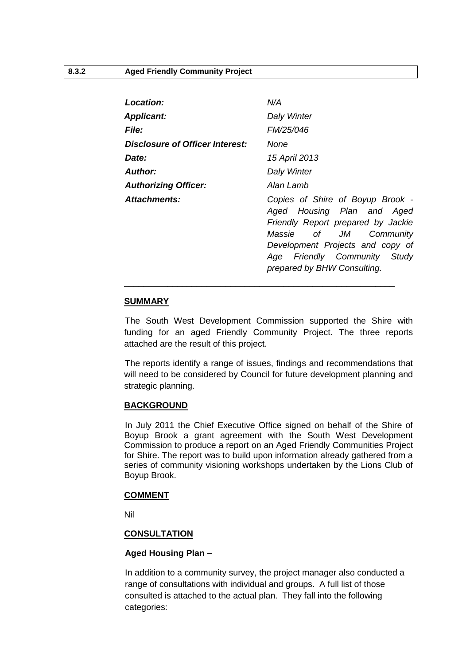<span id="page-11-0"></span>

| Location:                              | N/A                                                                                                                                                                                                                                                                                                                                                                                                                                                                     |
|----------------------------------------|-------------------------------------------------------------------------------------------------------------------------------------------------------------------------------------------------------------------------------------------------------------------------------------------------------------------------------------------------------------------------------------------------------------------------------------------------------------------------|
| <b>Applicant:</b>                      | Daly Winter                                                                                                                                                                                                                                                                                                                                                                                                                                                             |
| <i>File:</i>                           | FM/25/046                                                                                                                                                                                                                                                                                                                                                                                                                                                               |
| <b>Disclosure of Officer Interest:</b> | None                                                                                                                                                                                                                                                                                                                                                                                                                                                                    |
| Date:                                  | 15 April 2013                                                                                                                                                                                                                                                                                                                                                                                                                                                           |
| <b>Author:</b>                         | Daly Winter                                                                                                                                                                                                                                                                                                                                                                                                                                                             |
| <b>Authorizing Officer:</b>            | Alan Lamb                                                                                                                                                                                                                                                                                                                                                                                                                                                               |
| Attachments:                           | Copies of Shire of Boyup Brook -<br>Aged Housing Plan and Aged<br>Friendly Report prepared by Jackie<br>of the contract of the contract of the contract of the contract of the contract of the contract of the contract<br>Separate the contract of the contract of the contract of the contract of the contract of the contract of the<br>JM<br>Massie<br>Community<br>Development Projects and copy of<br>Age Friendly Community Study<br>prepared by BHW Consulting. |

#### **SUMMARY**

The South West Development Commission supported the Shire with funding for an aged Friendly Community Project. The three reports attached are the result of this project.

The reports identify a range of issues, findings and recommendations that will need to be considered by Council for future development planning and strategic planning.

## **BACKGROUND**

In July 2011 the Chief Executive Office signed on behalf of the Shire of Boyup Brook a grant agreement with the South West Development Commission to produce a report on an Aged Friendly Communities Project for Shire. The report was to build upon information already gathered from a series of community visioning workshops undertaken by the Lions Club of Boyup Brook.

#### **COMMENT**

Nil

## **CONSULTATION**

## **Aged Housing Plan –**

In addition to a community survey, the project manager also conducted a range of consultations with individual and groups. A full list of those consulted is attached to the actual plan. They fall into the following categories: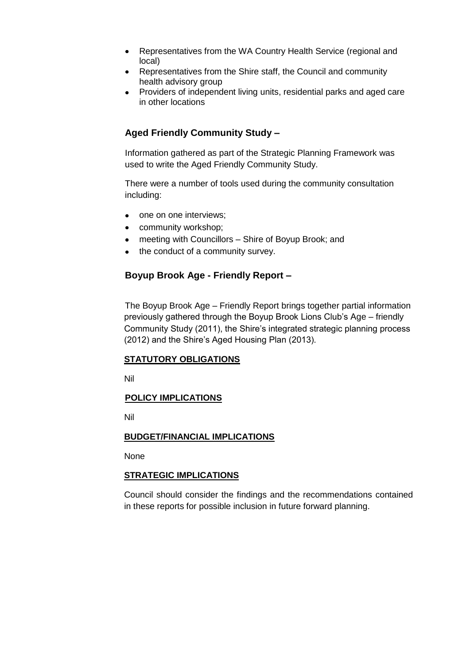- Representatives from the WA Country Health Service (regional and  $\bullet$ local)
- Representatives from the Shire staff, the Council and community health advisory group
- Providers of independent living units, residential parks and aged care in other locations

# **Aged Friendly Community Study –**

Information gathered as part of the Strategic Planning Framework was used to write the Aged Friendly Community Study.

There were a number of tools used during the community consultation including:

- one on one interviews;
- community workshop;
- meeting with Councillors Shire of Boyup Brook; and
- the conduct of a community survey.

## **Boyup Brook Age - Friendly Report –**

The Boyup Brook Age – Friendly Report brings together partial information previously gathered through the Boyup Brook Lions Club's Age – friendly Community Study (2011), the Shire's integrated strategic planning process (2012) and the Shire's Aged Housing Plan (2013).

## **STATUTORY OBLIGATIONS**

Nil

## **POLICY IMPLICATIONS**

Nil

## **BUDGET/FINANCIAL IMPLICATIONS**

None

## **STRATEGIC IMPLICATIONS**

Council should consider the findings and the recommendations contained in these reports for possible inclusion in future forward planning.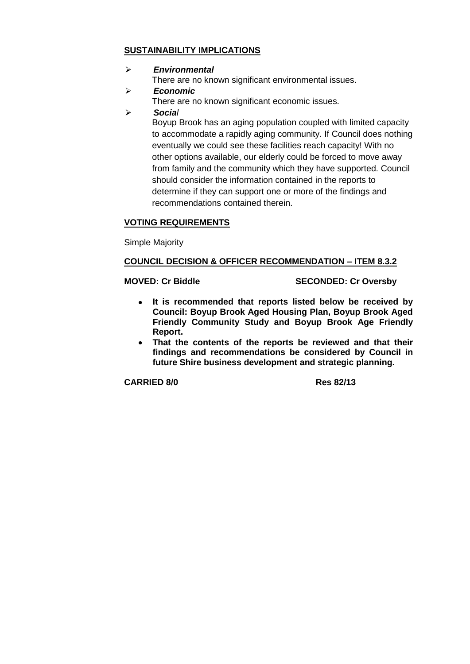## **SUSTAINABILITY IMPLICATIONS**

## *Environmental*

There are no known significant environmental issues.

*Economic*

There are no known significant economic issues.

*Social*

Boyup Brook has an aging population coupled with limited capacity to accommodate a rapidly aging community. If Council does nothing eventually we could see these facilities reach capacity! With no other options available, our elderly could be forced to move away from family and the community which they have supported. Council should consider the information contained in the reports to determine if they can support one or more of the findings and recommendations contained therein.

## **VOTING REQUIREMENTS**

Simple Majority

## **COUNCIL DECISION & OFFICER RECOMMENDATION – ITEM 8.3.2**

## **MOVED: Cr Biddle SECONDED: Cr Oversby**

- **It is recommended that reports listed below be received by Council: Boyup Brook Aged Housing Plan, Boyup Brook Aged Friendly Community Study and Boyup Brook Age Friendly Report.**
- **That the contents of the reports be reviewed and that their findings and recommendations be considered by Council in future Shire business development and strategic planning.**

**CARRIED 8/0 Res 82/13**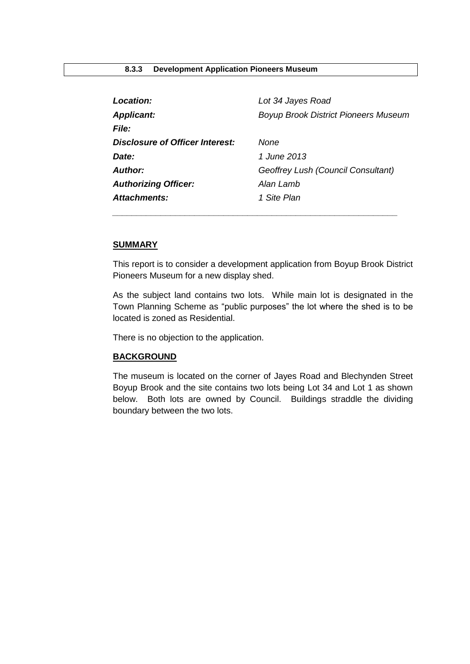<span id="page-14-0"></span>

| Location:                       | Lot 34 Jayes Road                           |
|---------------------------------|---------------------------------------------|
| <b>Applicant:</b>               | <b>Boyup Brook District Pioneers Museum</b> |
| <b>File:</b>                    |                                             |
| Disclosure of Officer Interest: | None                                        |
| Date:                           | 1 June 2013                                 |
| Author:                         | Geoffrey Lush (Council Consultant)          |
| <b>Authorizing Officer:</b>     | Alan Lamb                                   |
| Attachments:                    | 1 Site Plan                                 |
|                                 |                                             |

#### **SUMMARY**

This report is to consider a development application from Boyup Brook District Pioneers Museum for a new display shed.

As the subject land contains two lots. While main lot is designated in the Town Planning Scheme as "public purposes" the lot where the shed is to be located is zoned as Residential.

There is no objection to the application.

#### **BACKGROUND**

The museum is located on the corner of Jayes Road and Blechynden Street Boyup Brook and the site contains two lots being Lot 34 and Lot 1 as shown below. Both lots are owned by Council. Buildings straddle the dividing boundary between the two lots.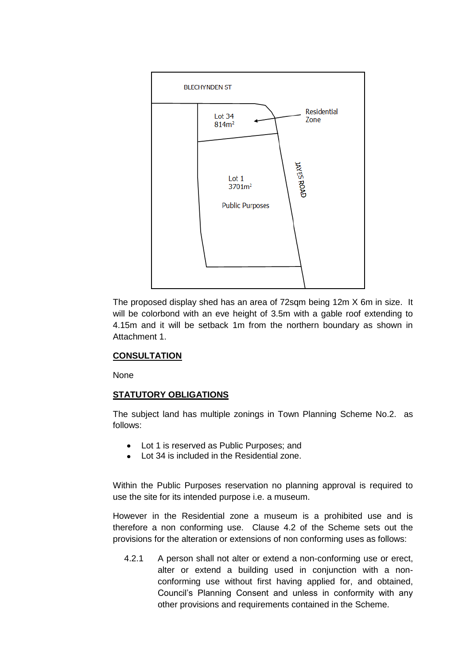

The proposed display shed has an area of 72sqm being 12m X 6m in size. It will be colorbond with an eve height of 3.5m with a gable roof extending to 4.15m and it will be setback 1m from the northern boundary as shown in Attachment 1.

## **CONSULTATION**

None

#### **STATUTORY OBLIGATIONS**

The subject land has multiple zonings in Town Planning Scheme No.2. as follows:

- Lot 1 is reserved as Public Purposes; and
- Lot 34 is included in the Residential zone.

Within the Public Purposes reservation no planning approval is required to use the site for its intended purpose i.e. a museum.

However in the Residential zone a museum is a prohibited use and is therefore a non conforming use. Clause 4.2 of the Scheme sets out the provisions for the alteration or extensions of non conforming uses as follows:

4.2.1 A person shall not alter or extend a non-conforming use or erect, alter or extend a building used in conjunction with a nonconforming use without first having applied for, and obtained, Council's Planning Consent and unless in conformity with any other provisions and requirements contained in the Scheme.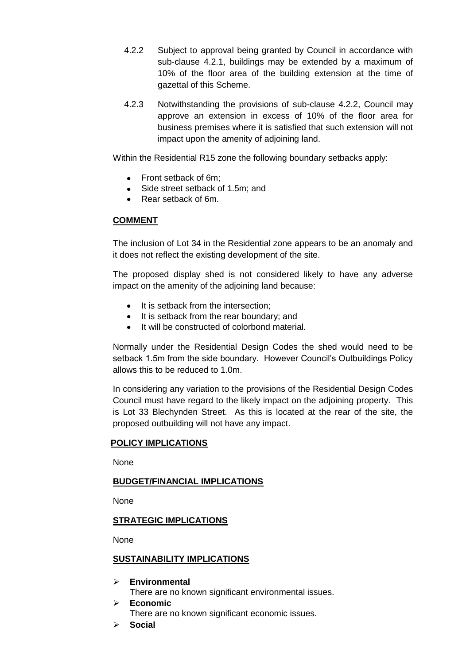- 4.2.2 Subject to approval being granted by Council in accordance with sub-clause 4.2.1, buildings may be extended by a maximum of 10% of the floor area of the building extension at the time of gazettal of this Scheme.
- 4.2.3 Notwithstanding the provisions of sub-clause 4.2.2, Council may approve an extension in excess of 10% of the floor area for business premises where it is satisfied that such extension will not impact upon the amenity of adjoining land.

Within the Residential R15 zone the following boundary setbacks apply:

- Front setback of 6m:
- Side street setback of 1.5m; and
- Rear setback of 6m.

## **COMMENT**

The inclusion of Lot 34 in the Residential zone appears to be an anomaly and it does not reflect the existing development of the site.

The proposed display shed is not considered likely to have any adverse impact on the amenity of the adjoining land because:

- It is setback from the intersection:
- It is setback from the rear boundary; and
- It will be constructed of colorbond material.

Normally under the Residential Design Codes the shed would need to be setback 1.5m from the side boundary. However Council's Outbuildings Policy allows this to be reduced to 1.0m.

In considering any variation to the provisions of the Residential Design Codes Council must have regard to the likely impact on the adjoining property. This is Lot 33 Blechynden Street. As this is located at the rear of the site, the proposed outbuilding will not have any impact.

## **POLICY IMPLICATIONS**

None

## **BUDGET/FINANCIAL IMPLICATIONS**

None

## **STRATEGIC IMPLICATIONS**

None

#### **SUSTAINABILITY IMPLICATIONS**

- **Environmental**  There are no known significant environmental issues.
- **Economic**  There are no known significant economic issues.
- **Social**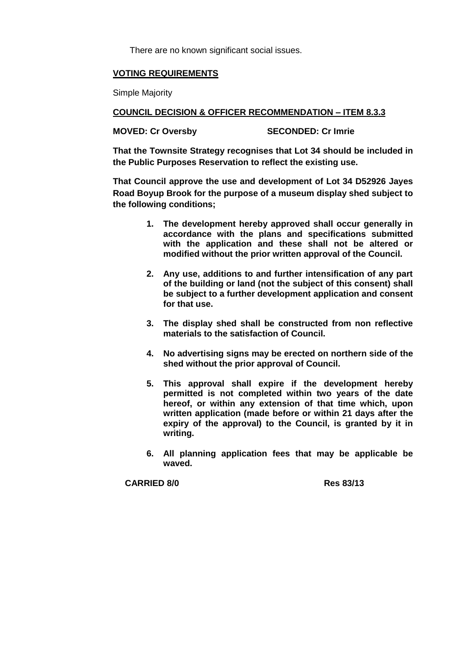There are no known significant social issues.

## **VOTING REQUIREMENTS**

Simple Majority

**COUNCIL DECISION & OFFICER RECOMMENDATION – ITEM 8.3.3**

**MOVED: Cr Oversby SECONDED: Cr Imrie**

**That the Townsite Strategy recognises that Lot 34 should be included in the Public Purposes Reservation to reflect the existing use.**

**That Council approve the use and development of Lot 34 D52926 Jayes Road Boyup Brook for the purpose of a museum display shed subject to the following conditions;**

- **1. The development hereby approved shall occur generally in accordance with the plans and specifications submitted with the application and these shall not be altered or modified without the prior written approval of the Council.**
- **2. Any use, additions to and further intensification of any part of the building or land (not the subject of this consent) shall be subject to a further development application and consent for that use.**
- **3. The display shed shall be constructed from non reflective materials to the satisfaction of Council.**
- **4. No advertising signs may be erected on northern side of the shed without the prior approval of Council.**
- **5. This approval shall expire if the development hereby permitted is not completed within two years of the date hereof, or within any extension of that time which, upon written application (made before or within 21 days after the expiry of the approval) to the Council, is granted by it in writing.**
- **6. All planning application fees that may be applicable be waved.**

**CARRIED 8/0 Res 83/13**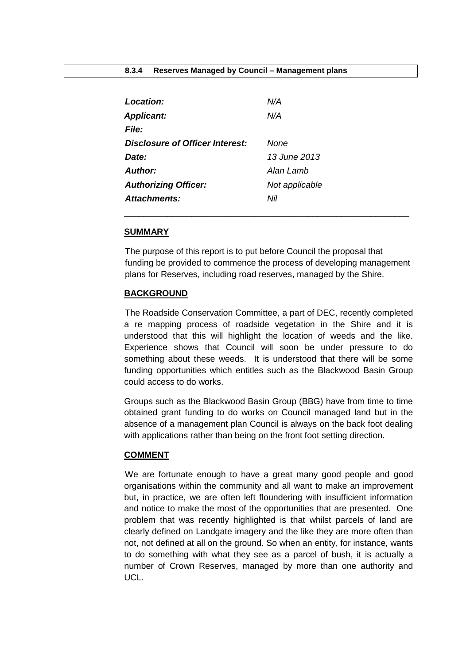<span id="page-18-0"></span>

| Location:                              | N/A            |
|----------------------------------------|----------------|
| <b>Applicant:</b>                      | N/A            |
| <b>File:</b>                           |                |
| <b>Disclosure of Officer Interest:</b> | None           |
| Date:                                  | 13 June 2013   |
| Author:                                | Alan Lamb      |
| <b>Authorizing Officer:</b>            | Not applicable |
| <b>Attachments:</b>                    | Nil            |

#### **SUMMARY**

The purpose of this report is to put before Council the proposal that funding be provided to commence the process of developing management plans for Reserves, including road reserves, managed by the Shire.

\_\_\_\_\_\_\_\_\_\_\_\_\_\_\_\_\_\_\_\_\_\_\_\_\_\_\_\_\_\_\_\_\_\_\_\_\_\_\_\_\_\_\_\_\_\_\_\_\_\_\_\_\_\_\_\_\_\_\_

#### **BACKGROUND**

The Roadside Conservation Committee, a part of DEC, recently completed a re mapping process of roadside vegetation in the Shire and it is understood that this will highlight the location of weeds and the like. Experience shows that Council will soon be under pressure to do something about these weeds. It is understood that there will be some funding opportunities which entitles such as the Blackwood Basin Group could access to do works.

Groups such as the Blackwood Basin Group (BBG) have from time to time obtained grant funding to do works on Council managed land but in the absence of a management plan Council is always on the back foot dealing with applications rather than being on the front foot setting direction.

#### **COMMENT**

We are fortunate enough to have a great many good people and good organisations within the community and all want to make an improvement but, in practice, we are often left floundering with insufficient information and notice to make the most of the opportunities that are presented. One problem that was recently highlighted is that whilst parcels of land are clearly defined on Landgate imagery and the like they are more often than not, not defined at all on the ground. So when an entity, for instance, wants to do something with what they see as a parcel of bush, it is actually a number of Crown Reserves, managed by more than one authority and UCL.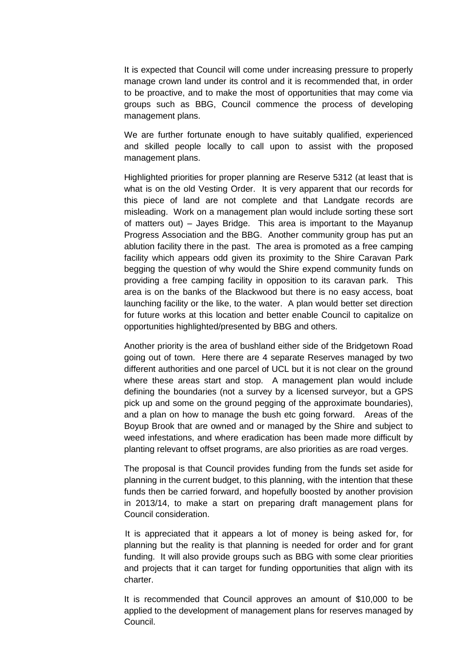It is expected that Council will come under increasing pressure to properly manage crown land under its control and it is recommended that, in order to be proactive, and to make the most of opportunities that may come via groups such as BBG, Council commence the process of developing management plans.

We are further fortunate enough to have suitably qualified, experienced and skilled people locally to call upon to assist with the proposed management plans.

Highlighted priorities for proper planning are Reserve 5312 (at least that is what is on the old Vesting Order. It is very apparent that our records for this piece of land are not complete and that Landgate records are misleading. Work on a management plan would include sorting these sort of matters out) – Jayes Bridge. This area is important to the Mayanup Progress Association and the BBG. Another community group has put an ablution facility there in the past. The area is promoted as a free camping facility which appears odd given its proximity to the Shire Caravan Park begging the question of why would the Shire expend community funds on providing a free camping facility in opposition to its caravan park. This area is on the banks of the Blackwood but there is no easy access, boat launching facility or the like, to the water. A plan would better set direction for future works at this location and better enable Council to capitalize on opportunities highlighted/presented by BBG and others.

Another priority is the area of bushland either side of the Bridgetown Road going out of town. Here there are 4 separate Reserves managed by two different authorities and one parcel of UCL but it is not clear on the ground where these areas start and stop. A management plan would include defining the boundaries (not a survey by a licensed surveyor, but a GPS pick up and some on the ground pegging of the approximate boundaries), and a plan on how to manage the bush etc going forward. Areas of the Boyup Brook that are owned and or managed by the Shire and subject to weed infestations, and where eradication has been made more difficult by planting relevant to offset programs, are also priorities as are road verges.

The proposal is that Council provides funding from the funds set aside for planning in the current budget, to this planning, with the intention that these funds then be carried forward, and hopefully boosted by another provision in 2013/14, to make a start on preparing draft management plans for Council consideration.

It is appreciated that it appears a lot of money is being asked for, for planning but the reality is that planning is needed for order and for grant funding. It will also provide groups such as BBG with some clear priorities and projects that it can target for funding opportunities that align with its charter.

It is recommended that Council approves an amount of \$10,000 to be applied to the development of management plans for reserves managed by Council.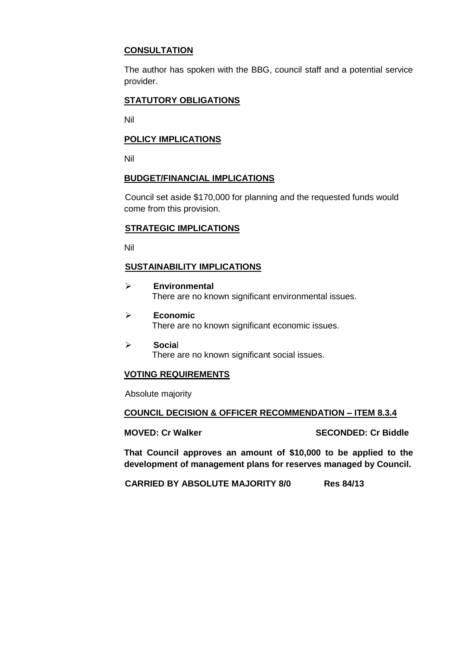## **CONSULTATION**

The author has spoken with the BBG, council staff and a potential service provider.

## **STATUTORY OBLIGATIONS**

Nil

## **POLICY IMPLICATIONS**

Nil

## **BUDGET/FINANCIAL IMPLICATIONS**

Council set aside \$170,000 for planning and the requested funds would come from this provision.

## **STRATEGIC IMPLICATIONS**

Nil

## **SUSTAINABILITY IMPLICATIONS**

- **Environmental** There are no known significant environmental issues.
- **Economic** There are no known significant economic issues.
- **Socia**l There are no known significant social issues.

## **VOTING REQUIREMENTS**

Absolute majority

## **COUNCIL DECISION & OFFICER RECOMMENDATION – ITEM 8.3.4**

**MOVED: Cr Walker SECONDED: Cr Biddle**

**That Council approves an amount of \$10,000 to be applied to the development of management plans for reserves managed by Council.** 

**CARRIED BY ABSOLUTE MAJORITY 8/0 Res 84/13**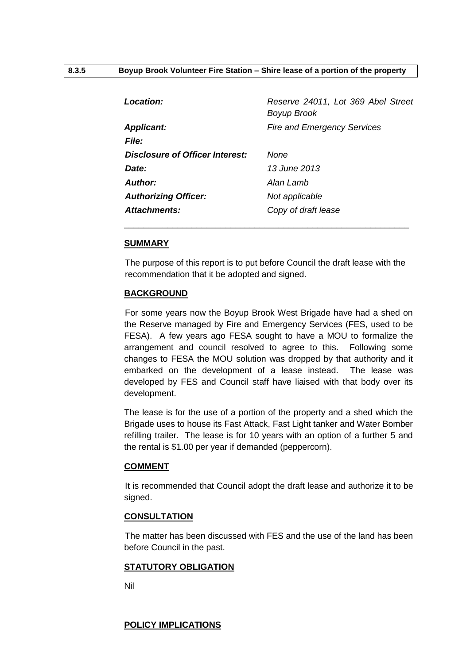<span id="page-21-0"></span>

| <b>Location:</b>                | Reserve 24011, Lot 369 Abel Street<br>Boyup Brook |
|---------------------------------|---------------------------------------------------|
| <b>Applicant:</b>               | <b>Fire and Emergency Services</b>                |
| <b>File:</b>                    |                                                   |
| Disclosure of Officer Interest: | None                                              |
| Date:                           | 13 June 2013                                      |
| Author:                         | Alan Lamb                                         |
| <b>Authorizing Officer:</b>     | Not applicable                                    |
| Attachments:                    | Copy of draft lease                               |
|                                 |                                                   |

#### **SUMMARY**

The purpose of this report is to put before Council the draft lease with the recommendation that it be adopted and signed.

#### **BACKGROUND**

For some years now the Boyup Brook West Brigade have had a shed on the Reserve managed by Fire and Emergency Services (FES, used to be FESA). A few years ago FESA sought to have a MOU to formalize the arrangement and council resolved to agree to this. Following some changes to FESA the MOU solution was dropped by that authority and it embarked on the development of a lease instead. The lease was developed by FES and Council staff have liaised with that body over its development.

The lease is for the use of a portion of the property and a shed which the Brigade uses to house its Fast Attack, Fast Light tanker and Water Bomber refilling trailer. The lease is for 10 years with an option of a further 5 and the rental is \$1.00 per year if demanded (peppercorn).

#### **COMMENT**

It is recommended that Council adopt the draft lease and authorize it to be signed.

## **CONSULTATION**

The matter has been discussed with FES and the use of the land has been before Council in the past.

#### **STATUTORY OBLIGATION**

Nil

#### **POLICY IMPLICATIONS**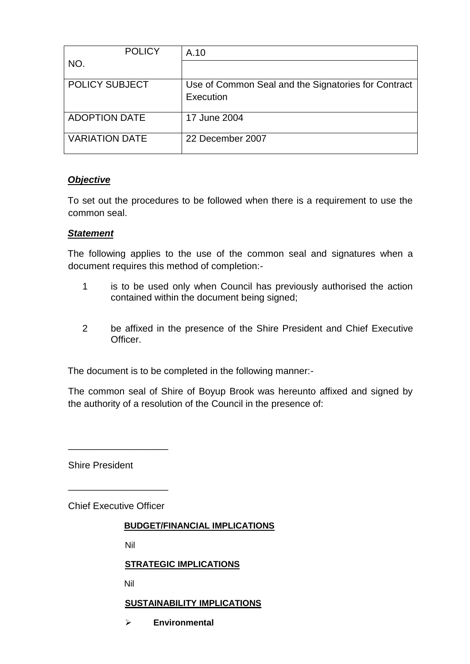| <b>POLICY</b>         | A.10                                                             |
|-----------------------|------------------------------------------------------------------|
| NO.                   |                                                                  |
| <b>POLICY SUBJECT</b> | Use of Common Seal and the Signatories for Contract<br>Execution |
| <b>ADOPTION DATE</b>  | 17 June 2004                                                     |
| <b>VARIATION DATE</b> | 22 December 2007                                                 |

# *Objective*

To set out the procedures to be followed when there is a requirement to use the common seal.

## *Statement*

The following applies to the use of the common seal and signatures when a document requires this method of completion:-

- 1 is to be used only when Council has previously authorised the action contained within the document being signed;
- 2 be affixed in the presence of the Shire President and Chief Executive Officer.

The document is to be completed in the following manner:-

The common seal of Shire of Boyup Brook was hereunto affixed and signed by the authority of a resolution of the Council in the presence of:

Shire President

Chief Executive Officer

\_\_\_\_\_\_\_\_\_\_\_\_\_\_\_\_\_\_\_

\_\_\_\_\_\_\_\_\_\_\_\_\_\_\_\_\_\_\_

## **BUDGET/FINANCIAL IMPLICATIONS**

Nil

## **STRATEGIC IMPLICATIONS**

Nil

## **SUSTAINABILITY IMPLICATIONS**

**Environmental**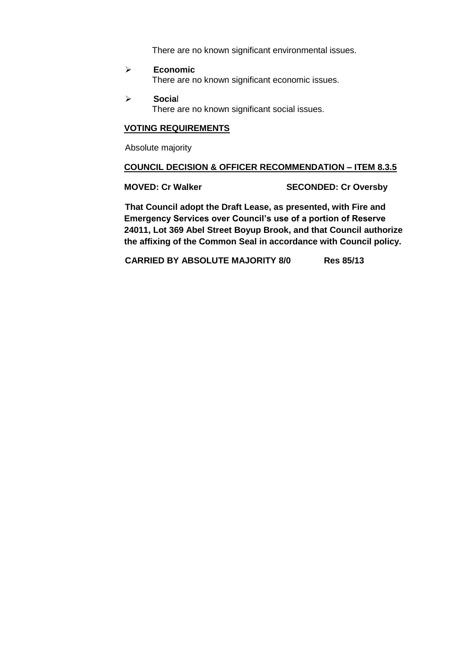There are no known significant environmental issues.

- **Economic** There are no known significant economic issues.
- **Socia**l There are no known significant social issues.

## **VOTING REQUIREMENTS**

Absolute majority

#### **COUNCIL DECISION & OFFICER RECOMMENDATION – ITEM 8.3.5**

**MOVED: Cr Walker SECONDED: Cr Oversby**

**That Council adopt the Draft Lease, as presented, with Fire and Emergency Services over Council's use of a portion of Reserve 24011, Lot 369 Abel Street Boyup Brook, and that Council authorize the affixing of the Common Seal in accordance with Council policy.** 

**CARRIED BY ABSOLUTE MAJORITY 8/0 Res 85/13**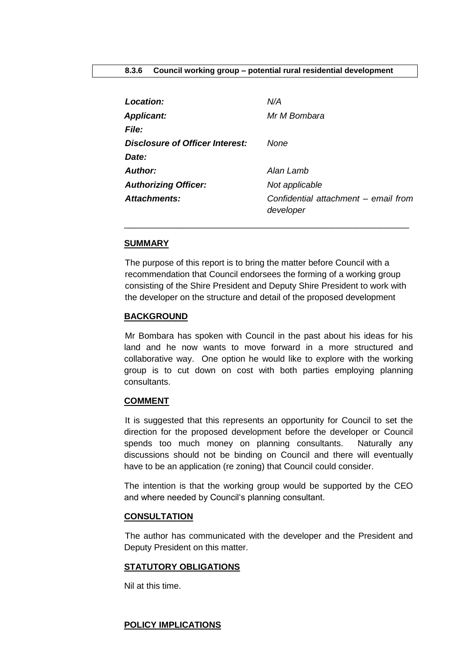<span id="page-24-0"></span>

| Location:                              | N/A                                               |
|----------------------------------------|---------------------------------------------------|
| <b>Applicant:</b>                      | Mr M Bombara                                      |
| <b>File:</b>                           |                                                   |
| <b>Disclosure of Officer Interest:</b> | None                                              |
| Date:                                  |                                                   |
| <b>Author:</b>                         | Alan Lamb                                         |
| <b>Authorizing Officer:</b>            | Not applicable                                    |
| <b>Attachments:</b>                    | Confidential attachment - email from<br>developer |

#### **SUMMARY**

The purpose of this report is to bring the matter before Council with a recommendation that Council endorsees the forming of a working group consisting of the Shire President and Deputy Shire President to work with the developer on the structure and detail of the proposed development

\_\_\_\_\_\_\_\_\_\_\_\_\_\_\_\_\_\_\_\_\_\_\_\_\_\_\_\_\_\_\_\_\_\_\_\_\_\_\_\_\_\_\_\_\_\_\_\_\_\_\_\_\_\_\_\_\_\_\_

#### **BACKGROUND**

Mr Bombara has spoken with Council in the past about his ideas for his land and he now wants to move forward in a more structured and collaborative way. One option he would like to explore with the working group is to cut down on cost with both parties employing planning consultants.

#### **COMMENT**

It is suggested that this represents an opportunity for Council to set the direction for the proposed development before the developer or Council spends too much money on planning consultants. Naturally any discussions should not be binding on Council and there will eventually have to be an application (re zoning) that Council could consider.

The intention is that the working group would be supported by the CEO and where needed by Council's planning consultant.

## **CONSULTATION**

The author has communicated with the developer and the President and Deputy President on this matter.

#### **STATUTORY OBLIGATIONS**

Nil at this time.

#### **POLICY IMPLICATIONS**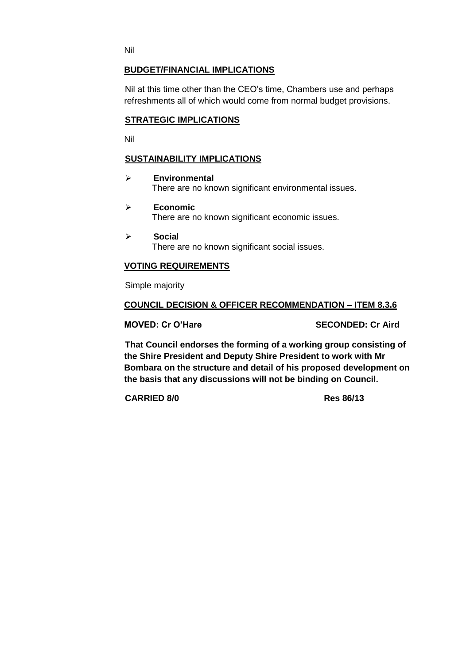Nil

## **BUDGET/FINANCIAL IMPLICATIONS**

Nil at this time other than the CEO's time, Chambers use and perhaps refreshments all of which would come from normal budget provisions.

## **STRATEGIC IMPLICATIONS**

Nil

## **SUSTAINABILITY IMPLICATIONS**

- **Environmental** There are no known significant environmental issues.
- **Economic** There are no known significant economic issues.
- **Socia**l There are no known significant social issues.

### **VOTING REQUIREMENTS**

Simple majority

### **COUNCIL DECISION & OFFICER RECOMMENDATION – ITEM 8.3.6**

**MOVED: Cr O'Hare SECONDED: Cr Aird**

**That Council endorses the forming of a working group consisting of the Shire President and Deputy Shire President to work with Mr Bombara on the structure and detail of his proposed development on the basis that any discussions will not be binding on Council.** 

**CARRIED 8/0 Res 86/13**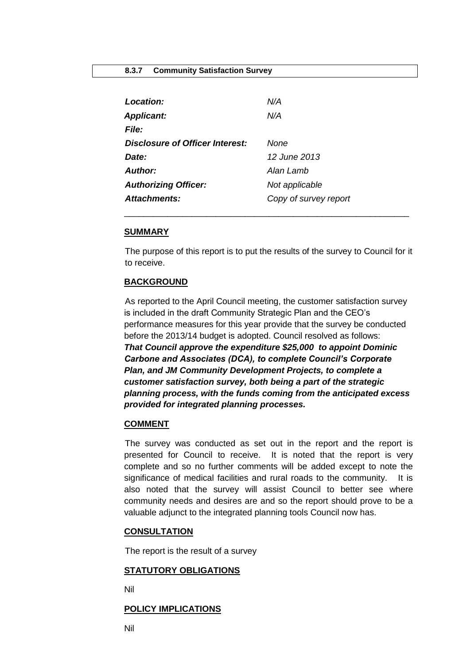<span id="page-26-0"></span>

| Location:                       | N/A                   |
|---------------------------------|-----------------------|
| <b>Applicant:</b>               | N/A                   |
| <b>File:</b>                    |                       |
| Disclosure of Officer Interest: | None                  |
| Date:                           | 12 June 2013          |
| Author:                         | Alan Lamb             |
| <b>Authorizing Officer:</b>     | Not applicable        |
| Attachments:                    | Copy of survey report |

### **SUMMARY**

The purpose of this report is to put the results of the survey to Council for it to receive.

\_\_\_\_\_\_\_\_\_\_\_\_\_\_\_\_\_\_\_\_\_\_\_\_\_\_\_\_\_\_\_\_\_\_\_\_\_\_\_\_\_\_\_\_\_\_\_\_\_\_\_\_\_\_\_\_\_\_\_

## **BACKGROUND**

As reported to the April Council meeting, the customer satisfaction survey is included in the draft Community Strategic Plan and the CEO's performance measures for this year provide that the survey be conducted before the 2013/14 budget is adopted. Council resolved as follows: *That Council approve the expenditure \$25,000 to appoint Dominic Carbone and Associates (DCA), to complete Council's Corporate Plan, and JM Community Development Projects, to complete a customer satisfaction survey, both being a part of the strategic planning process, with the funds coming from the anticipated excess provided for integrated planning processes.*

#### **COMMENT**

The survey was conducted as set out in the report and the report is presented for Council to receive. It is noted that the report is very complete and so no further comments will be added except to note the significance of medical facilities and rural roads to the community. It is also noted that the survey will assist Council to better see where community needs and desires are and so the report should prove to be a valuable adjunct to the integrated planning tools Council now has.

#### **CONSULTATION**

The report is the result of a survey

#### **STATUTORY OBLIGATIONS**

Nil

#### **POLICY IMPLICATIONS**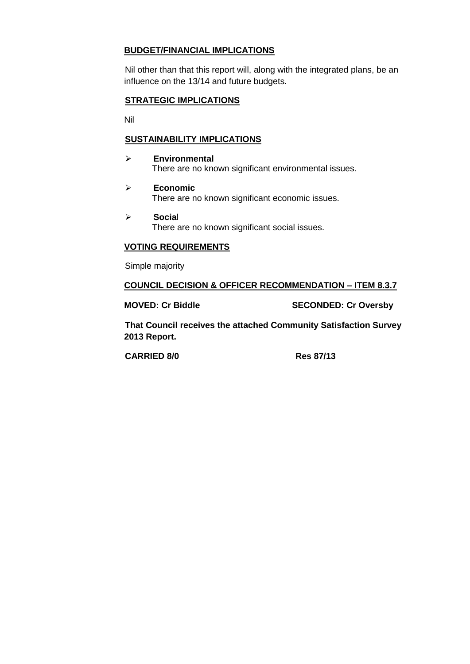# **BUDGET/FINANCIAL IMPLICATIONS**

Nil other than that this report will, along with the integrated plans, be an influence on the 13/14 and future budgets.

## **STRATEGIC IMPLICATIONS**

Nil

## **SUSTAINABILITY IMPLICATIONS**

- **Environmental** There are no known significant environmental issues.
- **Economic** There are no known significant economic issues.
- **Socia**l There are no known significant social issues.

## **VOTING REQUIREMENTS**

Simple majority

## **COUNCIL DECISION & OFFICER RECOMMENDATION – ITEM 8.3.7**

**MOVED: Cr Biddle SECONDED: Cr Oversby**

**That Council receives the attached Community Satisfaction Survey 2013 Report.** 

**CARRIED 8/0 Res 87/13**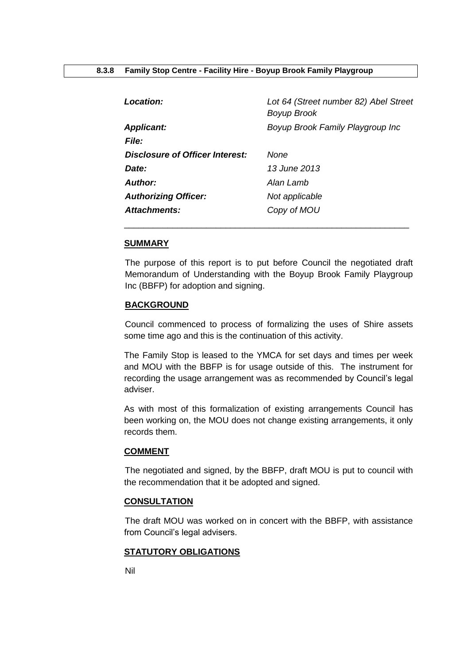<span id="page-28-0"></span>

| <b>Location:</b>                | Lot 64 (Street number 82) Abel Street<br><b>Boyup Brook</b> |
|---------------------------------|-------------------------------------------------------------|
| <b>Applicant:</b>               | Boyup Brook Family Playgroup Inc                            |
| <b>File:</b>                    |                                                             |
| Disclosure of Officer Interest: | None                                                        |
| Date:                           | 13 June 2013                                                |
| Author:                         | Alan Lamb                                                   |
| <b>Authorizing Officer:</b>     | Not applicable                                              |
| Attachments:                    | Copy of MOU                                                 |

#### **SUMMARY**

The purpose of this report is to put before Council the negotiated draft Memorandum of Understanding with the Boyup Brook Family Playgroup Inc (BBFP) for adoption and signing.

\_\_\_\_\_\_\_\_\_\_\_\_\_\_\_\_\_\_\_\_\_\_\_\_\_\_\_\_\_\_\_\_\_\_\_\_\_\_\_\_\_\_\_\_\_\_\_\_\_\_\_\_\_\_\_\_\_\_\_

#### **BACKGROUND**

Council commenced to process of formalizing the uses of Shire assets some time ago and this is the continuation of this activity.

The Family Stop is leased to the YMCA for set days and times per week and MOU with the BBFP is for usage outside of this. The instrument for recording the usage arrangement was as recommended by Council's legal adviser.

As with most of this formalization of existing arrangements Council has been working on, the MOU does not change existing arrangements, it only records them.

#### **COMMENT**

The negotiated and signed, by the BBFP, draft MOU is put to council with the recommendation that it be adopted and signed.

#### **CONSULTATION**

The draft MOU was worked on in concert with the BBFP, with assistance from Council's legal advisers.

#### **STATUTORY OBLIGATIONS**

Nil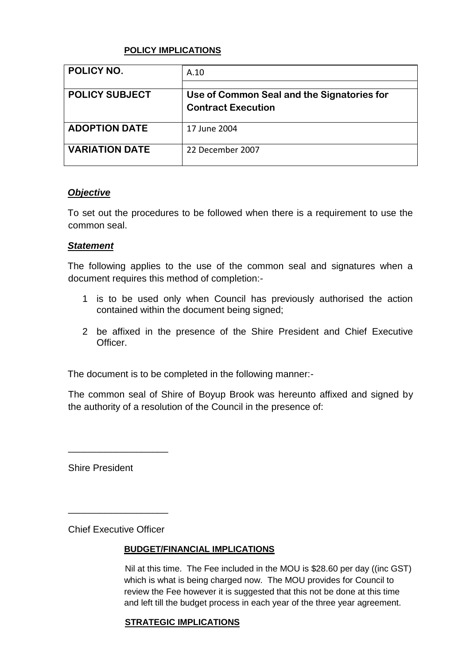## **POLICY IMPLICATIONS**

| POLICY NO.            | A.10                                                                    |
|-----------------------|-------------------------------------------------------------------------|
| <b>POLICY SUBJECT</b> | Use of Common Seal and the Signatories for<br><b>Contract Execution</b> |
| <b>ADOPTION DATE</b>  | 17 June 2004                                                            |
| <b>VARIATION DATE</b> | 22 December 2007                                                        |

## *Objective*

To set out the procedures to be followed when there is a requirement to use the common seal.

## *Statement*

The following applies to the use of the common seal and signatures when a document requires this method of completion:-

- 1 is to be used only when Council has previously authorised the action contained within the document being signed;
- 2 be affixed in the presence of the Shire President and Chief Executive Officer.

The document is to be completed in the following manner:-

The common seal of Shire of Boyup Brook was hereunto affixed and signed by the authority of a resolution of the Council in the presence of:

Shire President

Chief Executive Officer

\_\_\_\_\_\_\_\_\_\_\_\_\_\_\_\_\_\_\_

\_\_\_\_\_\_\_\_\_\_\_\_\_\_\_\_\_\_\_

## **BUDGET/FINANCIAL IMPLICATIONS**

Nil at this time. The Fee included in the MOU is \$28.60 per day ((inc GST) which is what is being charged now. The MOU provides for Council to review the Fee however it is suggested that this not be done at this time and left till the budget process in each year of the three year agreement.

## **STRATEGIC IMPLICATIONS**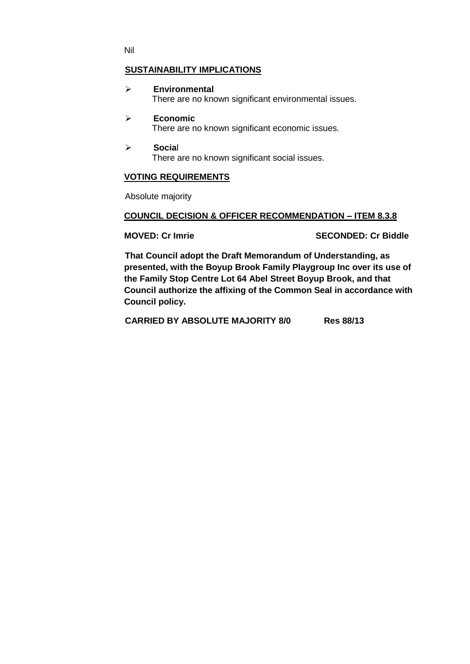Nil

## **SUSTAINABILITY IMPLICATIONS**

- **Environmental** There are no known significant environmental issues.
- **Economic** There are no known significant economic issues.
- **Socia**l There are no known significant social issues.

## **VOTING REQUIREMENTS**

Absolute majority

### **COUNCIL DECISION & OFFICER RECOMMENDATION – ITEM 8.3.8**

**MOVED: Cr Imrie SECONDED: Cr Biddle**

**That Council adopt the Draft Memorandum of Understanding, as presented, with the Boyup Brook Family Playgroup Inc over its use of the Family Stop Centre Lot 64 Abel Street Boyup Brook, and that Council authorize the affixing of the Common Seal in accordance with Council policy.** 

**CARRIED BY ABSOLUTE MAJORITY 8/0 Res 88/13**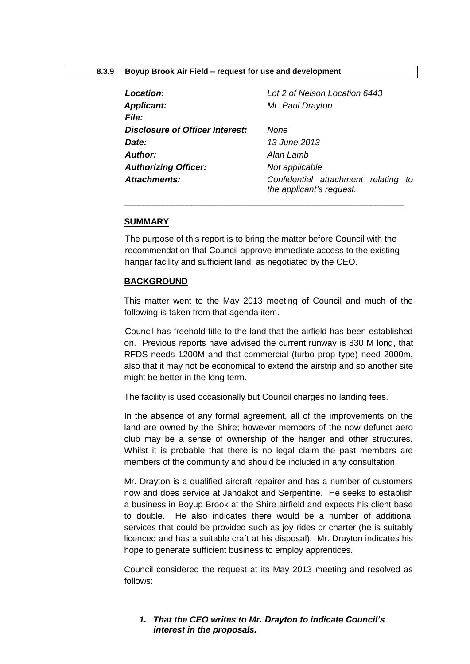#### <span id="page-31-0"></span>**8.3.9 Boyup Brook Air Field – request for use and development**

| Lot 2 of Nelson Location 6443                                   |
|-----------------------------------------------------------------|
| Mr. Paul Drayton                                                |
|                                                                 |
| None                                                            |
| 13 June 2013                                                    |
| Alan Lamb                                                       |
| Not applicable                                                  |
| Confidential attachment relating to<br>the applicant's request. |
|                                                                 |

#### **SUMMARY**

The purpose of this report is to bring the matter before Council with the recommendation that Council approve immediate access to the existing hangar facility and sufficient land, as negotiated by the CEO.

\_\_\_\_\_\_\_\_\_\_\_\_\_\_\_\_\_\_\_\_\_\_\_\_\_\_\_\_\_\_\_\_\_\_\_\_\_\_\_\_\_\_\_\_\_\_\_\_\_\_\_\_\_\_\_\_\_\_

### **BACKGROUND**

This matter went to the May 2013 meeting of Council and much of the following is taken from that agenda item.

Council has freehold title to the land that the airfield has been established on. Previous reports have advised the current runway is 830 M long, that RFDS needs 1200M and that commercial (turbo prop type) need 2000m, also that it may not be economical to extend the airstrip and so another site might be better in the long term.

The facility is used occasionally but Council charges no landing fees.

In the absence of any formal agreement, all of the improvements on the land are owned by the Shire; however members of the now defunct aero club may be a sense of ownership of the hanger and other structures. Whilst it is probable that there is no legal claim the past members are members of the community and should be included in any consultation.

Mr. Drayton is a qualified aircraft repairer and has a number of customers now and does service at Jandakot and Serpentine. He seeks to establish a business in Boyup Brook at the Shire airfield and expects his client base to double. He also indicates there would be a number of additional services that could be provided such as joy rides or charter (he is suitably licenced and has a suitable craft at his disposal). Mr. Drayton indicates his hope to generate sufficient business to employ apprentices.

Council considered the request at its May 2013 meeting and resolved as follows:

## *1. That the CEO writes to Mr. Drayton to indicate Council's interest in the proposals.*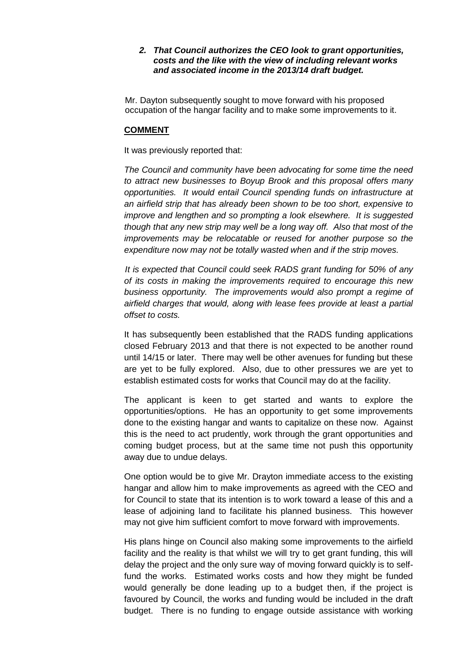## *2. That Council authorizes the CEO look to grant opportunities, costs and the like with the view of including relevant works and associated income in the 2013/14 draft budget.*

Mr. Dayton subsequently sought to move forward with his proposed occupation of the hangar facility and to make some improvements to it.

#### **COMMENT**

It was previously reported that:

*The Council and community have been advocating for some time the need to attract new businesses to Boyup Brook and this proposal offers many opportunities. It would entail Council spending funds on infrastructure at an airfield strip that has already been shown to be too short, expensive to improve and lengthen and so prompting a look elsewhere. It is suggested though that any new strip may well be a long way off. Also that most of the improvements may be relocatable or reused for another purpose so the expenditure now may not be totally wasted when and if the strip moves.*

*It is expected that Council could seek RADS grant funding for 50% of any of its costs in making the improvements required to encourage this new business opportunity. The improvements would also prompt a regime of airfield charges that would, along with lease fees provide at least a partial offset to costs.* 

It has subsequently been established that the RADS funding applications closed February 2013 and that there is not expected to be another round until 14/15 or later. There may well be other avenues for funding but these are yet to be fully explored. Also, due to other pressures we are yet to establish estimated costs for works that Council may do at the facility.

The applicant is keen to get started and wants to explore the opportunities/options. He has an opportunity to get some improvements done to the existing hangar and wants to capitalize on these now. Against this is the need to act prudently, work through the grant opportunities and coming budget process, but at the same time not push this opportunity away due to undue delays.

One option would be to give Mr. Drayton immediate access to the existing hangar and allow him to make improvements as agreed with the CEO and for Council to state that its intention is to work toward a lease of this and a lease of adjoining land to facilitate his planned business. This however may not give him sufficient comfort to move forward with improvements.

His plans hinge on Council also making some improvements to the airfield facility and the reality is that whilst we will try to get grant funding, this will delay the project and the only sure way of moving forward quickly is to selffund the works. Estimated works costs and how they might be funded would generally be done leading up to a budget then, if the project is favoured by Council, the works and funding would be included in the draft budget. There is no funding to engage outside assistance with working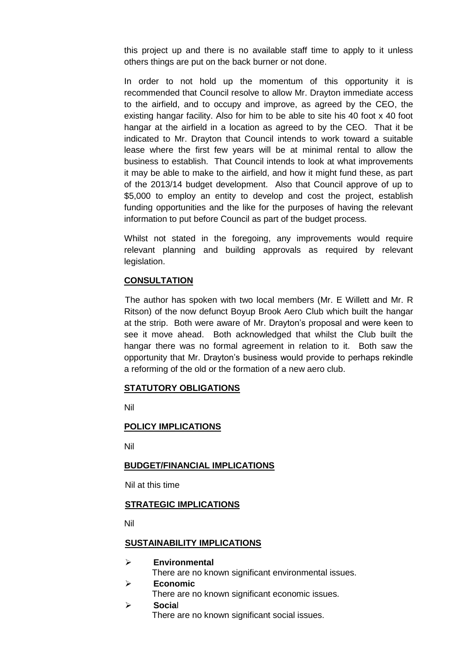this project up and there is no available staff time to apply to it unless others things are put on the back burner or not done.

In order to not hold up the momentum of this opportunity it is recommended that Council resolve to allow Mr. Drayton immediate access to the airfield, and to occupy and improve, as agreed by the CEO, the existing hangar facility. Also for him to be able to site his 40 foot x 40 foot hangar at the airfield in a location as agreed to by the CEO. That it be indicated to Mr. Drayton that Council intends to work toward a suitable lease where the first few years will be at minimal rental to allow the business to establish. That Council intends to look at what improvements it may be able to make to the airfield, and how it might fund these, as part of the 2013/14 budget development. Also that Council approve of up to \$5,000 to employ an entity to develop and cost the project, establish funding opportunities and the like for the purposes of having the relevant information to put before Council as part of the budget process.

Whilst not stated in the foregoing, any improvements would require relevant planning and building approvals as required by relevant legislation.

## **CONSULTATION**

The author has spoken with two local members (Mr. E Willett and Mr. R Ritson) of the now defunct Boyup Brook Aero Club which built the hangar at the strip. Both were aware of Mr. Drayton's proposal and were keen to see it move ahead. Both acknowledged that whilst the Club built the hangar there was no formal agreement in relation to it. Both saw the opportunity that Mr. Drayton's business would provide to perhaps rekindle a reforming of the old or the formation of a new aero club.

#### **STATUTORY OBLIGATIONS**

Nil

#### **POLICY IMPLICATIONS**

Nil

#### **BUDGET/FINANCIAL IMPLICATIONS**

Nil at this time

### **STRATEGIC IMPLICATIONS**

Nil

#### **SUSTAINABILITY IMPLICATIONS**

**Environmental**

There are no known significant environmental issues.

- **Economic**
	- There are no known significant economic issues.
- **Socia**l There are no known significant social issues.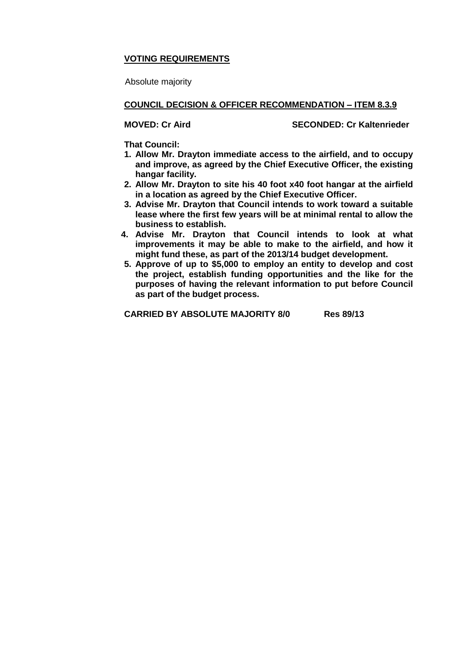## **VOTING REQUIREMENTS**

Absolute majority

#### **COUNCIL DECISION & OFFICER RECOMMENDATION – ITEM 8.3.9**

**MOVED: Cr Aird SECONDED: Cr Kaltenrieder**

**That Council:**

- **1. Allow Mr. Drayton immediate access to the airfield, and to occupy and improve, as agreed by the Chief Executive Officer, the existing hangar facility.**
- **2. Allow Mr. Drayton to site his 40 foot x40 foot hangar at the airfield in a location as agreed by the Chief Executive Officer.**
- **3. Advise Mr. Drayton that Council intends to work toward a suitable lease where the first few years will be at minimal rental to allow the business to establish.**
- **4. Advise Mr. Drayton that Council intends to look at what improvements it may be able to make to the airfield, and how it might fund these, as part of the 2013/14 budget development.**
- **5. Approve of up to \$5,000 to employ an entity to develop and cost the project, establish funding opportunities and the like for the purposes of having the relevant information to put before Council as part of the budget process.**

**CARRIED BY ABSOLUTE MAJORITY 8/0 Res 89/13**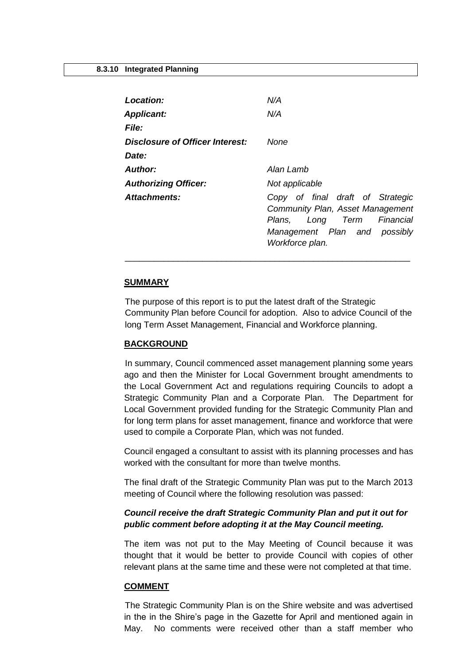<span id="page-35-0"></span>

| Location:                       | N/A                                                                                                                                                      |
|---------------------------------|----------------------------------------------------------------------------------------------------------------------------------------------------------|
| <b>Applicant:</b>               | N/A                                                                                                                                                      |
| <b>File:</b>                    |                                                                                                                                                          |
| Disclosure of Officer Interest: | None                                                                                                                                                     |
| Date:                           |                                                                                                                                                          |
| Author:                         | Alan Lamb                                                                                                                                                |
| <b>Authorizing Officer:</b>     | Not applicable                                                                                                                                           |
| Attachments:                    | Copy of final draft of Strategic<br>Community Plan, Asset Management<br>Long Term Financial<br>Plans.<br>Management Plan and possibly<br>Workforce plan. |

#### **SUMMARY**

The purpose of this report is to put the latest draft of the Strategic Community Plan before Council for adoption. Also to advice Council of the long Term Asset Management, Financial and Workforce planning.

\_\_\_\_\_\_\_\_\_\_\_\_\_\_\_\_\_\_\_\_\_\_\_\_\_\_\_\_\_\_\_\_\_\_\_\_\_\_\_\_\_\_\_\_\_\_\_\_\_\_\_\_\_\_\_\_\_\_\_

#### **BACKGROUND**

In summary, Council commenced asset management planning some years ago and then the Minister for Local Government brought amendments to the Local Government Act and regulations requiring Councils to adopt a Strategic Community Plan and a Corporate Plan. The Department for Local Government provided funding for the Strategic Community Plan and for long term plans for asset management, finance and workforce that were used to compile a Corporate Plan, which was not funded.

Council engaged a consultant to assist with its planning processes and has worked with the consultant for more than twelve months.

The final draft of the Strategic Community Plan was put to the March 2013 meeting of Council where the following resolution was passed:

## *Council receive the draft Strategic Community Plan and put it out for public comment before adopting it at the May Council meeting.*

The item was not put to the May Meeting of Council because it was thought that it would be better to provide Council with copies of other relevant plans at the same time and these were not completed at that time.

#### **COMMENT**

The Strategic Community Plan is on the Shire website and was advertised in the in the Shire's page in the Gazette for April and mentioned again in May. No comments were received other than a staff member who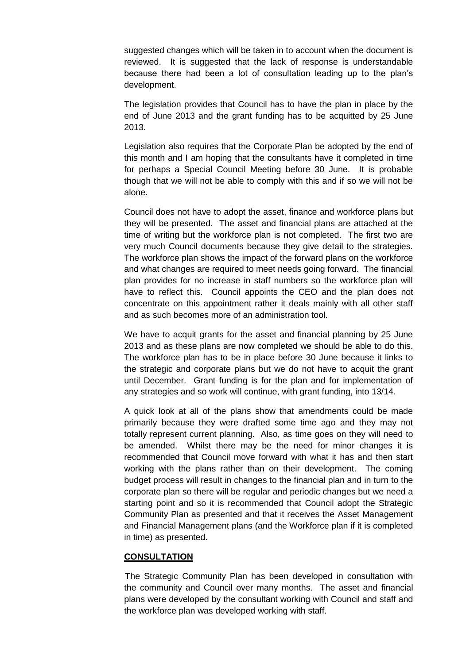suggested changes which will be taken in to account when the document is reviewed. It is suggested that the lack of response is understandable because there had been a lot of consultation leading up to the plan's development.

The legislation provides that Council has to have the plan in place by the end of June 2013 and the grant funding has to be acquitted by 25 June 2013.

Legislation also requires that the Corporate Plan be adopted by the end of this month and I am hoping that the consultants have it completed in time for perhaps a Special Council Meeting before 30 June. It is probable though that we will not be able to comply with this and if so we will not be alone.

Council does not have to adopt the asset, finance and workforce plans but they will be presented. The asset and financial plans are attached at the time of writing but the workforce plan is not completed. The first two are very much Council documents because they give detail to the strategies. The workforce plan shows the impact of the forward plans on the workforce and what changes are required to meet needs going forward. The financial plan provides for no increase in staff numbers so the workforce plan will have to reflect this. Council appoints the CEO and the plan does not concentrate on this appointment rather it deals mainly with all other staff and as such becomes more of an administration tool.

We have to acquit grants for the asset and financial planning by 25 June 2013 and as these plans are now completed we should be able to do this. The workforce plan has to be in place before 30 June because it links to the strategic and corporate plans but we do not have to acquit the grant until December. Grant funding is for the plan and for implementation of any strategies and so work will continue, with grant funding, into 13/14.

A quick look at all of the plans show that amendments could be made primarily because they were drafted some time ago and they may not totally represent current planning. Also, as time goes on they will need to be amended. Whilst there may be the need for minor changes it is recommended that Council move forward with what it has and then start working with the plans rather than on their development. The coming budget process will result in changes to the financial plan and in turn to the corporate plan so there will be regular and periodic changes but we need a starting point and so it is recommended that Council adopt the Strategic Community Plan as presented and that it receives the Asset Management and Financial Management plans (and the Workforce plan if it is completed in time) as presented.

#### **CONSULTATION**

The Strategic Community Plan has been developed in consultation with the community and Council over many months. The asset and financial plans were developed by the consultant working with Council and staff and the workforce plan was developed working with staff.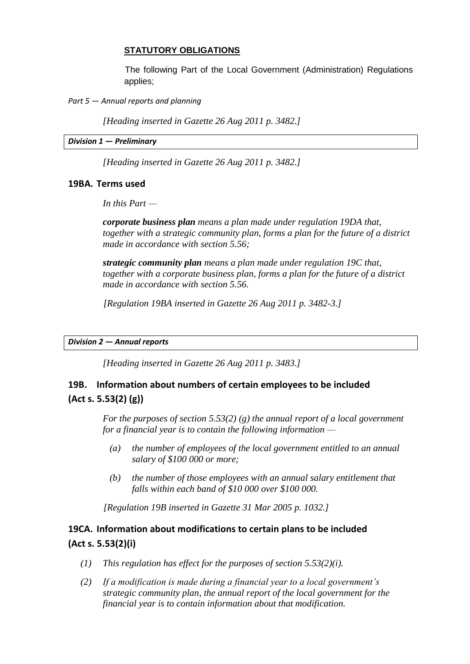## **STATUTORY OBLIGATIONS**

The following Part of the Local Government (Administration) Regulations applies;

*Part 5* — *Annual reports and planning*

*[Heading inserted in Gazette 26 Aug 2011 p. 3482.]*

*Division 1* **—** *Preliminary*

*[Heading inserted in Gazette 26 Aug 2011 p. 3482.]*

### **19BA. Terms used**

*In this Part —*

*corporate business plan means a plan made under regulation 19DA that, together with a strategic community plan, forms a plan for the future of a district made in accordance with section 5.56;*

*strategic community plan means a plan made under regulation 19C that, together with a corporate business plan, forms a plan for the future of a district made in accordance with section 5.56.*

*[Regulation 19BA inserted in Gazette 26 Aug 2011 p. 3482-3.]*

*Division 2* **—** *Annual reports*

*[Heading inserted in Gazette 26 Aug 2011 p. 3483.]*

# **19B. Information about numbers of certain employees to be included (Act s. 5.53(2) (g))**

*For the purposes of section 5.53(2) (g) the annual report of a local government for a financial year is to contain the following information —*

- *(a) the number of employees of the local government entitled to an annual salary of \$100 000 or more;*
- *(b) the number of those employees with an annual salary entitlement that falls within each band of \$10 000 over \$100 000.*

*[Regulation 19B inserted in Gazette 31 Mar 2005 p. 1032.]*

# **19CA. Information about modifications to certain plans to be included (Act s. 5.53(2)(i)**

- *(1) This regulation has effect for the purposes of section 5.53(2)(i).*
- *(2) If a modification is made during a financial year to a local government's strategic community plan, the annual report of the local government for the financial year is to contain information about that modification.*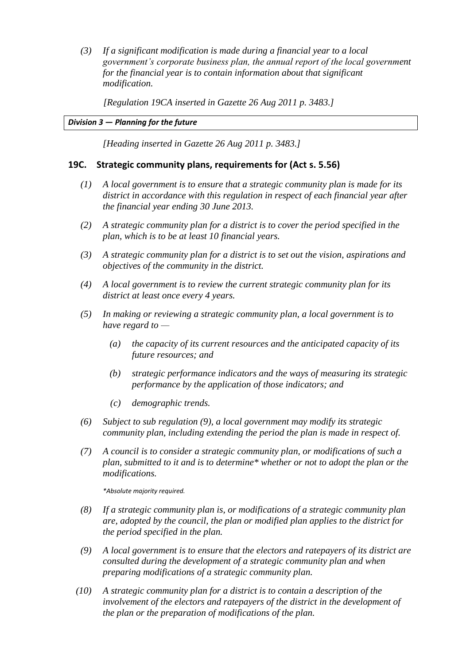*(3) If a significant modification is made during a financial year to a local government's corporate business plan, the annual report of the local government for the financial year is to contain information about that significant modification.*

*[Regulation 19CA inserted in Gazette 26 Aug 2011 p. 3483.]*

### *Division 3* **—** *Planning for the future*

*[Heading inserted in Gazette 26 Aug 2011 p. 3483.]*

## **19C. Strategic community plans, requirements for (Act s. 5.56)**

- *(1) A local government is to ensure that a strategic community plan is made for its district in accordance with this regulation in respect of each financial year after the financial year ending 30 June 2013.*
- *(2) A strategic community plan for a district is to cover the period specified in the plan, which is to be at least 10 financial years.*
- *(3) A strategic community plan for a district is to set out the vision, aspirations and objectives of the community in the district.*
- *(4) A local government is to review the current strategic community plan for its district at least once every 4 years.*
- *(5) In making or reviewing a strategic community plan, a local government is to have regard to —*
	- *(a) the capacity of its current resources and the anticipated capacity of its future resources; and*
	- *(b) strategic performance indicators and the ways of measuring its strategic performance by the application of those indicators; and*
	- *(c) demographic trends.*
- *(6) Subject to sub regulation (9), a local government may modify its strategic community plan, including extending the period the plan is made in respect of.*
- *(7) A council is to consider a strategic community plan, or modifications of such a plan, submitted to it and is to determine\* whether or not to adopt the plan or the modifications.*

*\*Absolute majority required.*

- *(8) If a strategic community plan is, or modifications of a strategic community plan are, adopted by the council, the plan or modified plan applies to the district for the period specified in the plan.*
- *(9) A local government is to ensure that the electors and ratepayers of its district are consulted during the development of a strategic community plan and when preparing modifications of a strategic community plan.*
- *(10) A strategic community plan for a district is to contain a description of the involvement of the electors and ratepayers of the district in the development of the plan or the preparation of modifications of the plan.*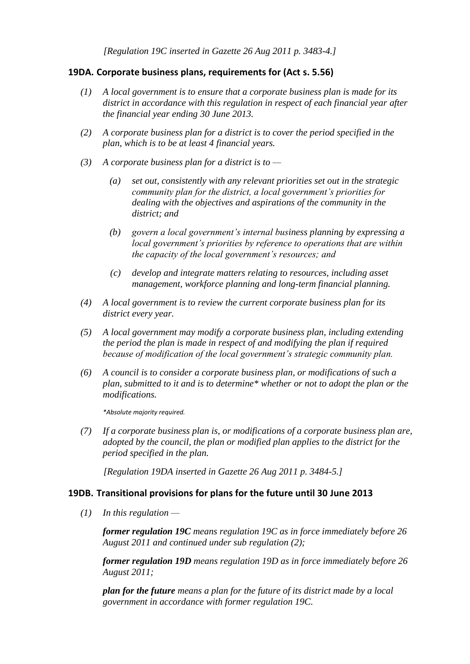*[Regulation 19C inserted in Gazette 26 Aug 2011 p. 3483-4.]*

## **19DA. Corporate business plans, requirements for (Act s. 5.56)**

- *(1) A local government is to ensure that a corporate business plan is made for its district in accordance with this regulation in respect of each financial year after the financial year ending 30 June 2013.*
- *(2) A corporate business plan for a district is to cover the period specified in the plan, which is to be at least 4 financial years.*
- *(3) A corporate business plan for a district is to —*
	- *(a) set out, consistently with any relevant priorities set out in the strategic community plan for the district, a local government's priorities for dealing with the objectives and aspirations of the community in the district; and*
	- *(b) govern a local government's internal business planning by expressing a local government's priorities by reference to operations that are within the capacity of the local government's resources; and*
	- *(c) develop and integrate matters relating to resources, including asset management, workforce planning and long-term financial planning.*
- *(4) A local government is to review the current corporate business plan for its district every year.*
- *(5) A local government may modify a corporate business plan, including extending the period the plan is made in respect of and modifying the plan if required because of modification of the local government's strategic community plan.*
- *(6) A council is to consider a corporate business plan, or modifications of such a plan, submitted to it and is to determine\* whether or not to adopt the plan or the modifications.*

*\*Absolute majority required.*

*(7) If a corporate business plan is, or modifications of a corporate business plan are, adopted by the council, the plan or modified plan applies to the district for the period specified in the plan.*

*[Regulation 19DA inserted in Gazette 26 Aug 2011 p. 3484-5.]*

## **19DB. Transitional provisions for plans for the future until 30 June 2013**

*(1) In this regulation —*

*former regulation 19C means regulation 19C as in force immediately before 26 August 2011 and continued under sub regulation (2);*

*former regulation 19D means regulation 19D as in force immediately before 26 August 2011;*

*plan for the future means a plan for the future of its district made by a local government in accordance with former regulation 19C.*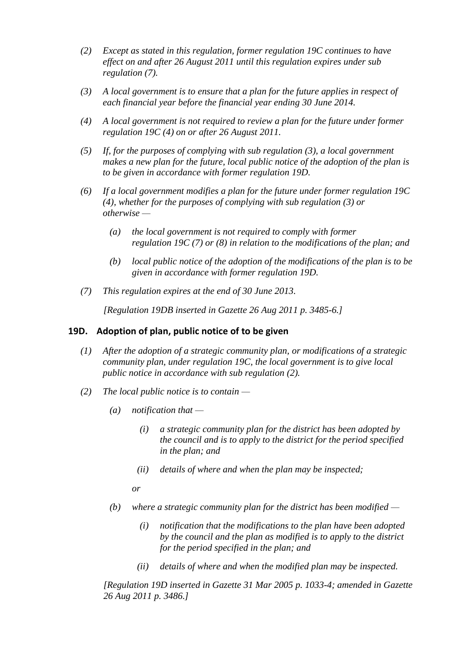- *(2) Except as stated in this regulation, former regulation 19C continues to have effect on and after 26 August 2011 until this regulation expires under sub regulation (7).*
- *(3) A local government is to ensure that a plan for the future applies in respect of each financial year before the financial year ending 30 June 2014.*
- *(4) A local government is not required to review a plan for the future under former regulation 19C (4) on or after 26 August 2011.*
- *(5) If, for the purposes of complying with sub regulation (3), a local government makes a new plan for the future, local public notice of the adoption of the plan is to be given in accordance with former regulation 19D.*
- *(6) If a local government modifies a plan for the future under former regulation 19C (4), whether for the purposes of complying with sub regulation (3) or otherwise —*
	- *(a) the local government is not required to comply with former regulation 19C (7) or (8) in relation to the modifications of the plan; and*
	- *(b) local public notice of the adoption of the modifications of the plan is to be given in accordance with former regulation 19D.*
- *(7) This regulation expires at the end of 30 June 2013.*

*[Regulation 19DB inserted in Gazette 26 Aug 2011 p. 3485-6.]*

### **19D. Adoption of plan, public notice of to be given**

- *(1) After the adoption of a strategic community plan, or modifications of a strategic community plan, under regulation 19C, the local government is to give local public notice in accordance with sub regulation (2).*
- *(2) The local public notice is to contain —*
	- *(a) notification that —*
		- *(i) a strategic community plan for the district has been adopted by the council and is to apply to the district for the period specified in the plan; and*
		- *(ii) details of where and when the plan may be inspected;*

*or*

- *(b) where a strategic community plan for the district has been modified —*
	- *(i) notification that the modifications to the plan have been adopted by the council and the plan as modified is to apply to the district for the period specified in the plan; and*
	- *(ii) details of where and when the modified plan may be inspected.*

*[Regulation 19D inserted in Gazette 31 Mar 2005 p. 1033-4; amended in Gazette 26 Aug 2011 p. 3486.]*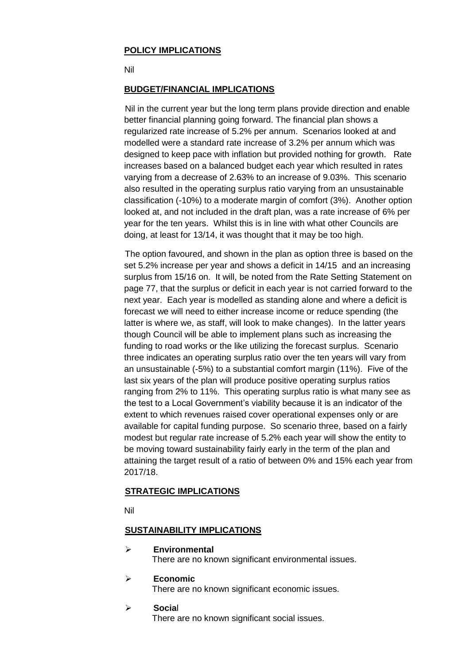## **POLICY IMPLICATIONS**

Nil

## **BUDGET/FINANCIAL IMPLICATIONS**

Nil in the current year but the long term plans provide direction and enable better financial planning going forward. The financial plan shows a regularized rate increase of 5.2% per annum. Scenarios looked at and modelled were a standard rate increase of 3.2% per annum which was designed to keep pace with inflation but provided nothing for growth. Rate increases based on a balanced budget each year which resulted in rates varying from a decrease of 2.63% to an increase of 9.03%. This scenario also resulted in the operating surplus ratio varying from an unsustainable classification (-10%) to a moderate margin of comfort (3%). Another option looked at, and not included in the draft plan, was a rate increase of 6% per year for the ten years. Whilst this is in line with what other Councils are doing, at least for 13/14, it was thought that it may be too high.

The option favoured, and shown in the plan as option three is based on the set 5.2% increase per year and shows a deficit in 14/15 and an increasing surplus from 15/16 on. It will, be noted from the Rate Setting Statement on page 77, that the surplus or deficit in each year is not carried forward to the next year. Each year is modelled as standing alone and where a deficit is forecast we will need to either increase income or reduce spending (the latter is where we, as staff, will look to make changes). In the latter years though Council will be able to implement plans such as increasing the funding to road works or the like utilizing the forecast surplus. Scenario three indicates an operating surplus ratio over the ten years will vary from an unsustainable (-5%) to a substantial comfort margin (11%). Five of the last six years of the plan will produce positive operating surplus ratios ranging from 2% to 11%. This operating surplus ratio is what many see as the test to a Local Government's viability because it is an indicator of the extent to which revenues raised cover operational expenses only or are available for capital funding purpose. So scenario three, based on a fairly modest but regular rate increase of 5.2% each year will show the entity to be moving toward sustainability fairly early in the term of the plan and attaining the target result of a ratio of between 0% and 15% each year from 2017/18.

## **STRATEGIC IMPLICATIONS**

Nil

## **SUSTAINABILITY IMPLICATIONS**

- **Environmental** There are no known significant environmental issues.
- **Economic**

There are no known significant economic issues.

**Socia**l

There are no known significant social issues.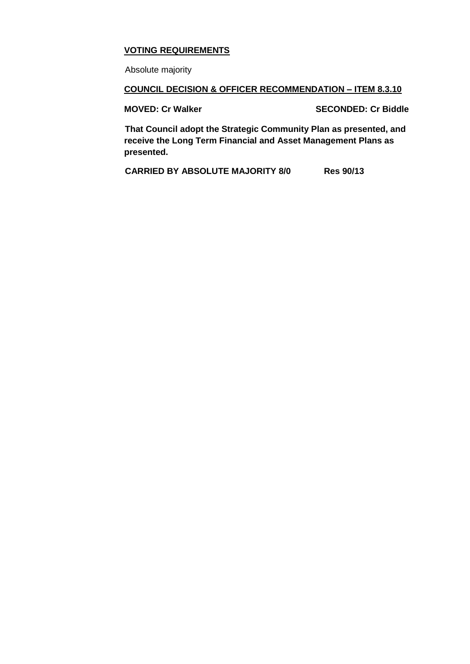# **VOTING REQUIREMENTS**

Absolute majority

## **COUNCIL DECISION & OFFICER RECOMMENDATION – ITEM 8.3.10**

**MOVED: Cr Walker SECONDED: Cr Biddle**

**That Council adopt the Strategic Community Plan as presented, and receive the Long Term Financial and Asset Management Plans as presented.** 

**CARRIED BY ABSOLUTE MAJORITY 8/0 Res 90/13**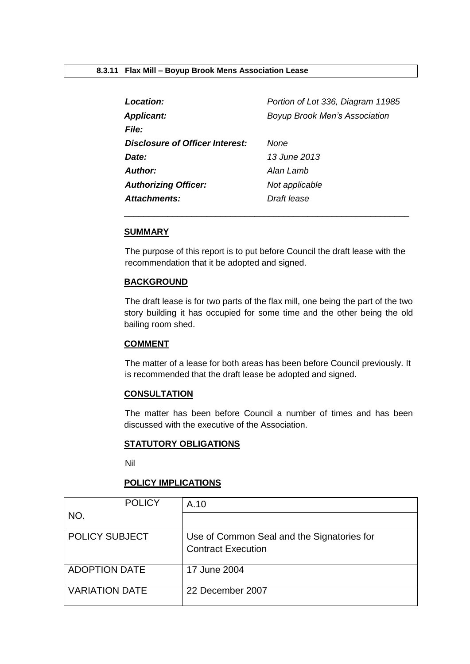<span id="page-43-0"></span>

| Location:                       | Portion of Lot 336, Diagram 11985    |
|---------------------------------|--------------------------------------|
| <b>Applicant:</b>               | <b>Boyup Brook Men's Association</b> |
| <b>File:</b>                    |                                      |
| Disclosure of Officer Interest: | None                                 |
| Date:                           | 13 June 2013                         |
| Author:                         | Alan Lamb                            |
| <b>Authorizing Officer:</b>     | Not applicable                       |
| Attachments:                    | Draft lease                          |

#### **SUMMARY**

The purpose of this report is to put before Council the draft lease with the recommendation that it be adopted and signed.

\_\_\_\_\_\_\_\_\_\_\_\_\_\_\_\_\_\_\_\_\_\_\_\_\_\_\_\_\_\_\_\_\_\_\_\_\_\_\_\_\_\_\_\_\_\_\_\_\_\_\_\_\_\_\_\_\_\_\_

### **BACKGROUND**

The draft lease is for two parts of the flax mill, one being the part of the two story building it has occupied for some time and the other being the old bailing room shed.

### **COMMENT**

The matter of a lease for both areas has been before Council previously. It is recommended that the draft lease be adopted and signed.

## **CONSULTATION**

The matter has been before Council a number of times and has been discussed with the executive of the Association.

#### **STATUTORY OBLIGATIONS**

Nil

## **POLICY IMPLICATIONS**

| <b>POLICY</b>         | A.10                                       |
|-----------------------|--------------------------------------------|
| NO.                   |                                            |
|                       |                                            |
| <b>POLICY SUBJECT</b> | Use of Common Seal and the Signatories for |
|                       | <b>Contract Execution</b>                  |
|                       |                                            |
| <b>ADOPTION DATE</b>  | 17 June 2004                               |
|                       |                                            |
| <b>VARIATION DATE</b> | 22 December 2007                           |
|                       |                                            |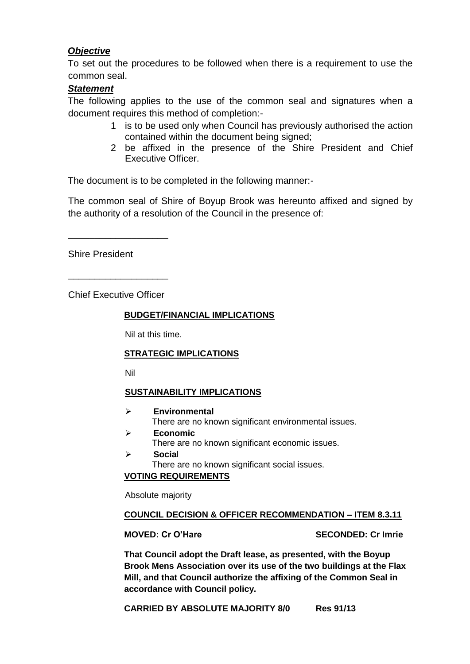# *Objective*

To set out the procedures to be followed when there is a requirement to use the common seal.

# *Statement*

The following applies to the use of the common seal and signatures when a document requires this method of completion:-

- 1 is to be used only when Council has previously authorised the action contained within the document being signed;
- 2 be affixed in the presence of the Shire President and Chief Executive Officer.

The document is to be completed in the following manner:-

The common seal of Shire of Boyup Brook was hereunto affixed and signed by the authority of a resolution of the Council in the presence of:

Shire President

Chief Executive Officer

\_\_\_\_\_\_\_\_\_\_\_\_\_\_\_\_\_\_\_

\_\_\_\_\_\_\_\_\_\_\_\_\_\_\_\_\_\_\_

## **BUDGET/FINANCIAL IMPLICATIONS**

Nil at this time.

## **STRATEGIC IMPLICATIONS**

Nil

## **SUSTAINABILITY IMPLICATIONS**

- **Environmental** There are no known significant environmental issues.
- **Economic** There are no known significant economic issues.
- **Socia**l There are no known significant social issues.

# **VOTING REQUIREMENTS**

Absolute majority

## **COUNCIL DECISION & OFFICER RECOMMENDATION – ITEM 8.3.11**

**MOVED: Cr O'Hare SECONDED: Cr Imrie**

**That Council adopt the Draft lease, as presented, with the Boyup Brook Mens Association over its use of the two buildings at the Flax Mill, and that Council authorize the affixing of the Common Seal in accordance with Council policy.** 

**CARRIED BY ABSOLUTE MAJORITY 8/0 Res 91/13**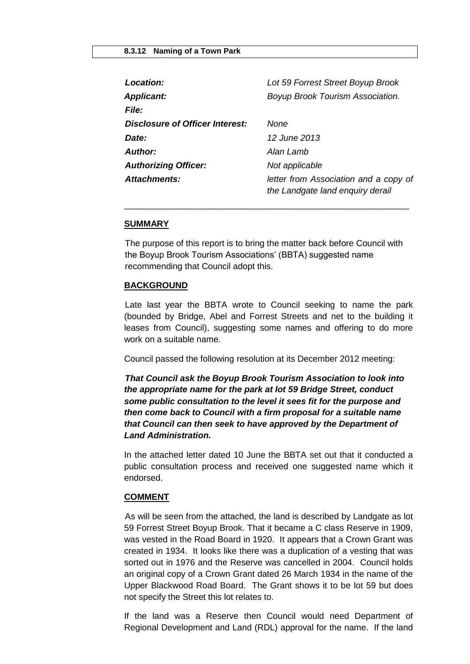<span id="page-45-0"></span>

| Location:                       | Lot 59 Forrest Street Boyup Brook                                         |
|---------------------------------|---------------------------------------------------------------------------|
| <b>Applicant:</b>               | Boyup Brook Tourism Association.                                          |
| <b>File:</b>                    |                                                                           |
| Disclosure of Officer Interest: | None                                                                      |
| Date:                           | 12 June 2013                                                              |
| Author:                         | Alan Lamb                                                                 |
| <b>Authorizing Officer:</b>     | Not applicable                                                            |
| Attachments:                    | letter from Association and a copy of<br>the Landgate land enquiry derail |

#### **SUMMARY**

The purpose of this report is to bring the matter back before Council with the Boyup Brook Tourism Associations' (BBTA) suggested name recommending that Council adopt this.

\_\_\_\_\_\_\_\_\_\_\_\_\_\_\_\_\_\_\_\_\_\_\_\_\_\_\_\_\_\_\_\_\_\_\_\_\_\_\_\_\_\_\_\_\_\_\_\_\_\_\_\_\_\_\_\_\_\_\_

#### **BACKGROUND**

Late last year the BBTA wrote to Council seeking to name the park (bounded by Bridge, Abel and Forrest Streets and net to the building it leases from Council), suggesting some names and offering to do more work on a suitable name.

Council passed the following resolution at its December 2012 meeting:

*That Council ask the Boyup Brook Tourism Association to look into the appropriate name for the park at lot 59 Bridge Street, conduct some public consultation to the level it sees fit for the purpose and then come back to Council with a firm proposal for a suitable name that Council can then seek to have approved by the Department of Land Administration.*

In the attached letter dated 10 June the BBTA set out that it conducted a public consultation process and received one suggested name which it endorsed.

#### **COMMENT**

As will be seen from the attached, the land is described by Landgate as lot 59 Forrest Street Boyup Brook. That it became a C class Reserve in 1909, was vested in the Road Board in 1920. It appears that a Crown Grant was created in 1934. It looks like there was a duplication of a vesting that was sorted out in 1976 and the Reserve was cancelled in 2004. Council holds an original copy of a Crown Grant dated 26 March 1934 in the name of the Upper Blackwood Road Board. The Grant shows it to be lot 59 but does not specify the Street this lot relates to.

If the land was a Reserve then Council would need Department of Regional Development and Land (RDL) approval for the name. If the land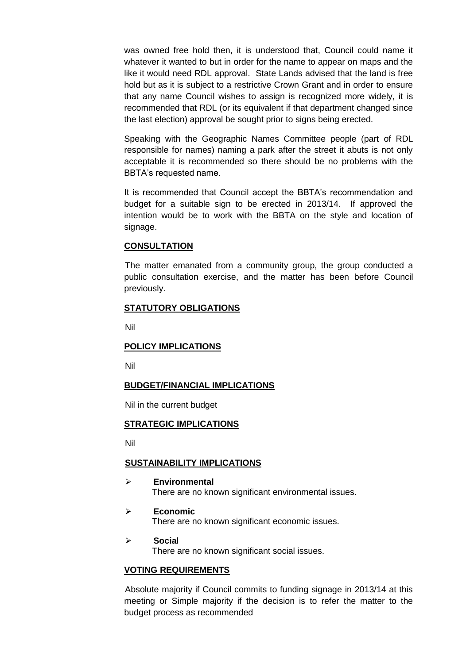was owned free hold then, it is understood that, Council could name it whatever it wanted to but in order for the name to appear on maps and the like it would need RDL approval. State Lands advised that the land is free hold but as it is subject to a restrictive Crown Grant and in order to ensure that any name Council wishes to assign is recognized more widely, it is recommended that RDL (or its equivalent if that department changed since the last election) approval be sought prior to signs being erected.

Speaking with the Geographic Names Committee people (part of RDL responsible for names) naming a park after the street it abuts is not only acceptable it is recommended so there should be no problems with the BBTA's requested name.

It is recommended that Council accept the BBTA's recommendation and budget for a suitable sign to be erected in 2013/14. If approved the intention would be to work with the BBTA on the style and location of signage.

## **CONSULTATION**

The matter emanated from a community group, the group conducted a public consultation exercise, and the matter has been before Council previously.

### **STATUTORY OBLIGATIONS**

Nil

#### **POLICY IMPLICATIONS**

Nil

#### **BUDGET/FINANCIAL IMPLICATIONS**

Nil in the current budget

#### **STRATEGIC IMPLICATIONS**

Nil

#### **SUSTAINABILITY IMPLICATIONS**

- **Environmental** There are no known significant environmental issues.
- **Economic** There are no known significant economic issues.
- **Socia**l There are no known significant social issues.

#### **VOTING REQUIREMENTS**

Absolute majority if Council commits to funding signage in 2013/14 at this meeting or Simple majority if the decision is to refer the matter to the budget process as recommended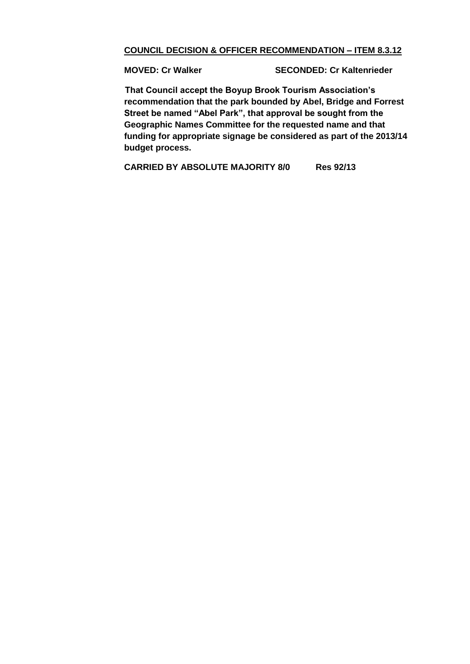## **COUNCIL DECISION & OFFICER RECOMMENDATION – ITEM 8.3.12**

**MOVED: Cr Walker SECONDED: Cr Kaltenrieder**

**That Council accept the Boyup Brook Tourism Association's recommendation that the park bounded by Abel, Bridge and Forrest Street be named "Abel Park", that approval be sought from the Geographic Names Committee for the requested name and that funding for appropriate signage be considered as part of the 2013/14 budget process.**

**CARRIED BY ABSOLUTE MAJORITY 8/0 Res 92/13**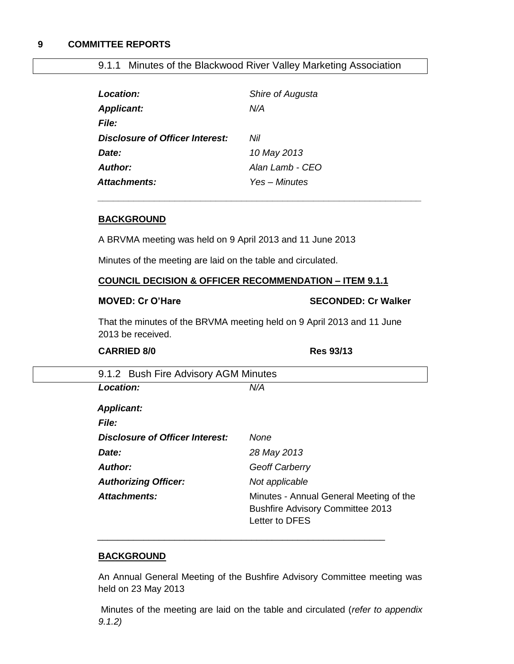## <span id="page-48-0"></span>**9 COMMITTEE REPORTS**

# 9.1.1 Minutes of the Blackwood River Valley Marketing Association

<span id="page-48-1"></span>

| Location:                       | Shire of Augusta |
|---------------------------------|------------------|
| <b>Applicant:</b>               | N/A              |
| <i>File:</i>                    |                  |
| Disclosure of Officer Interest: | Nil              |
| Date:                           | 10 May 2013      |
| Author:                         | Alan Lamb - CFO  |
| <b>Attachments:</b>             | Yes – Minutes    |

#### **BACKGROUND**

A BRVMA meeting was held on 9 April 2013 and 11 June 2013

Minutes of the meeting are laid on the table and circulated.

## **COUNCIL DECISION & OFFICER RECOMMENDATION – ITEM 9.1.1**

*\_\_\_\_\_\_\_\_\_\_\_\_\_\_\_\_\_\_\_\_\_\_\_\_\_\_\_\_\_\_\_\_\_\_\_\_\_\_\_\_\_\_\_\_\_\_\_\_\_\_\_\_\_\_\_\_\_\_\_\_\_\_\_*

#### **MOVED: Cr O'Hare SECONDED: Cr Walker**

That the minutes of the BRVMA meeting held on 9 April 2013 and 11 June 2013 be received.

## <span id="page-48-2"></span>**CARRIED 8/0 Res 93/13**

| Location:                       | N/A                                                                                                  |
|---------------------------------|------------------------------------------------------------------------------------------------------|
| <b>Applicant:</b>               |                                                                                                      |
| <b>File:</b>                    |                                                                                                      |
| Disclosure of Officer Interest: | None                                                                                                 |
| Date:                           | 28 May 2013                                                                                          |
| <b>Author:</b>                  | <b>Geoff Carberry</b>                                                                                |
| <b>Authorizing Officer:</b>     | Not applicable                                                                                       |
| Attachments:                    | Minutes - Annual General Meeting of the<br><b>Bushfire Advisory Committee 2013</b><br>Letter to DFES |

## **BACKGROUND**

An Annual General Meeting of the Bushfire Advisory Committee meeting was held on 23 May 2013

Minutes of the meeting are laid on the table and circulated (*refer to appendix 9.1.2)*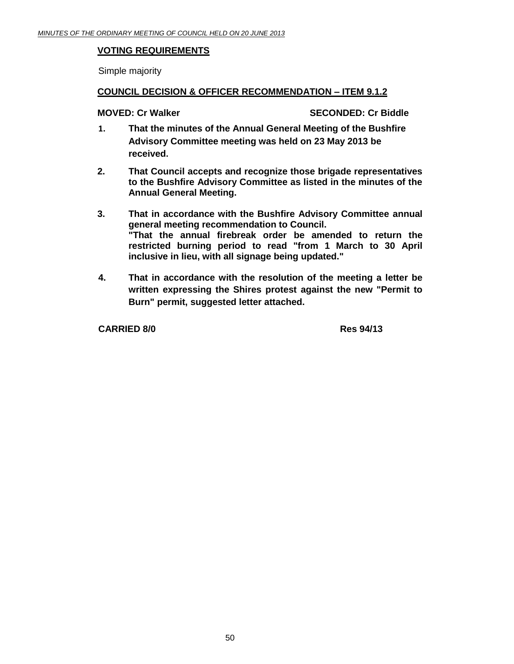## **VOTING REQUIREMENTS**

Simple majority

## **COUNCIL DECISION & OFFICER RECOMMENDATION – ITEM 9.1.2**

**MOVED: Cr Walker SECONDED: Cr Biddle**

- **1. That the minutes of the Annual General Meeting of the Bushfire Advisory Committee meeting was held on 23 May 2013 be received.**
- **2. That Council accepts and recognize those brigade representatives to the Bushfire Advisory Committee as listed in the minutes of the Annual General Meeting.**
- **3. That in accordance with the Bushfire Advisory Committee annual general meeting recommendation to Council. "That the annual firebreak order be amended to return the restricted burning period to read "from 1 March to 30 April inclusive in lieu, with all signage being updated."**
- **4. That in accordance with the resolution of the meeting a letter be written expressing the Shires protest against the new "Permit to Burn" permit, suggested letter attached.**

**CARRIED 8/0 Res 94/13**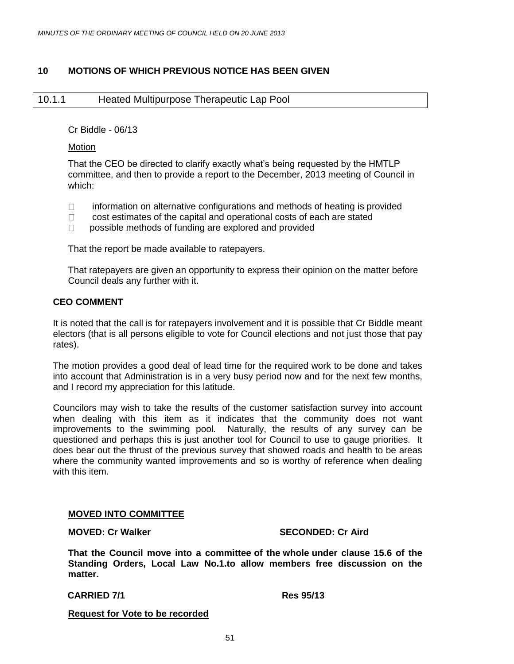## **10 MOTIONS OF WHICH PREVIOUS NOTICE HAS BEEN GIVEN**

## <span id="page-50-1"></span><span id="page-50-0"></span>10.1.1 Heated Multipurpose Therapeutic Lap Pool

Cr Biddle - 06/13

Motion

That the CEO be directed to clarify exactly what's being requested by the HMTLP committee, and then to provide a report to the December, 2013 meeting of Council in which:

- $\Box$  information on alternative configurations and methods of heating is provided
- $\Box$  cost estimates of the capital and operational costs of each are stated
- $\Box$  possible methods of funding are explored and provided

That the report be made available to ratepayers.

That ratepayers are given an opportunity to express their opinion on the matter before Council deals any further with it.

## **CEO COMMENT**

It is noted that the call is for ratepayers involvement and it is possible that Cr Biddle meant electors (that is all persons eligible to vote for Council elections and not just those that pay rates).

The motion provides a good deal of lead time for the required work to be done and takes into account that Administration is in a very busy period now and for the next few months, and I record my appreciation for this latitude.

Councilors may wish to take the results of the customer satisfaction survey into account when dealing with this item as it indicates that the community does not want improvements to the swimming pool. Naturally, the results of any survey can be questioned and perhaps this is just another tool for Council to use to gauge priorities. It does bear out the thrust of the previous survey that showed roads and health to be areas where the community wanted improvements and so is worthy of reference when dealing with this item.

#### **MOVED INTO COMMITTEE**

**MOVED: Cr Walker SECONDED: Cr Aird**

**That the Council move into a committee of the whole under clause 15.6 of the Standing Orders, Local Law No.1.to allow members free discussion on the matter.**

**CARRIED 7/1 Res 95/13**

**Request for Vote to be recorded**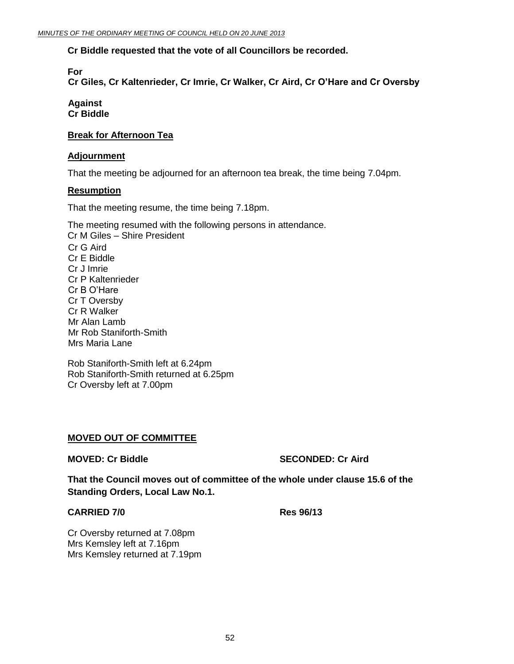## **Cr Biddle requested that the vote of all Councillors be recorded.**

**For**

**Cr Giles, Cr Kaltenrieder, Cr Imrie, Cr Walker, Cr Aird, Cr O'Hare and Cr Oversby**

#### **Against Cr Biddle**

## **Break for Afternoon Tea**

#### **Adjournment**

That the meeting be adjourned for an afternoon tea break, the time being 7.04pm.

## **Resumption**

That the meeting resume, the time being 7.18pm.

The meeting resumed with the following persons in attendance. Cr M Giles – Shire President Cr G Aird Cr E Biddle Cr J Imrie Cr P Kaltenrieder Cr B O'Hare Cr T Oversby Cr R Walker Mr Alan Lamb Mr Rob Staniforth-Smith Mrs Maria Lane

Rob Staniforth-Smith left at 6.24pm Rob Staniforth-Smith returned at 6.25pm Cr Oversby left at 7.00pm

## **MOVED OUT OF COMMITTEE**

**MOVED: Cr Biddle SECONDED: Cr Aird**

**That the Council moves out of committee of the whole under clause 15.6 of the Standing Orders, Local Law No.1.**

### **CARRIED 7/0 Res 96/13**

Cr Oversby returned at 7.08pm Mrs Kemsley left at 7.16pm Mrs Kemsley returned at 7.19pm